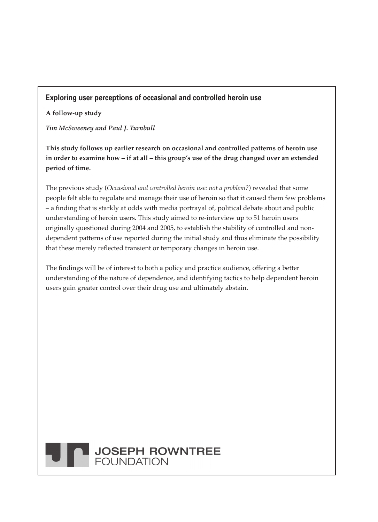### **Exploring user perceptions of occasional and controlled heroin use**

**A follow-up study**

*Tim McSweeney and Paul J. Turnbull*

**This study follows up earlier research on occasional and controlled patterns of heroin use in order to examine how – if at all – this group's use of the drug changed over an extended period of time.**

The previous study (*Occasional and controlled heroin use: not a problem?*) revealed that some people felt able to regulate and manage their use of heroin so that it caused them few problems – a finding that is starkly at odds with media portrayal of, political debate about and public understanding of heroin users. This study aimed to re-interview up to 51 heroin users originally questioned during 2004 and 2005, to establish the stability of controlled and nondependent patterns of use reported during the initial study and thus eliminate the possibility that these merely reflected transient or temporary changes in heroin use.

The findings will be of interest to both a policy and practice audience, offering a better understanding of the nature of dependence, and identifying tactics to help dependent heroin users gain greater control over their drug use and ultimately abstain.

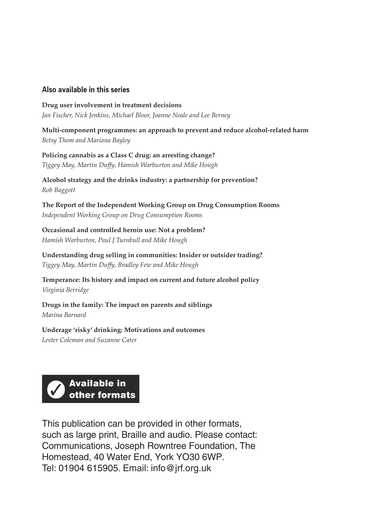#### **Also available in this series**

**Drug user involvement in treatment decisions** *Jan Fischer, Nick Jenkins, Michael Bloor, Joanne Neale and Lee Berney*

**Multi-component programmes: an approach to prevent and reduce alcohol-related harm** *Betsy Thom and Mariana Bayley*

**Policing cannabis as a Class C drug: an arresting change?** *Tiggey May, Martin Duffy, Hamish Warburton and Mike Hough*

**Alcohol strategy and the drinks industry: a partnership for prevention?** *Rob Baggott*

**The Report of the Independent Working Group on Drug Consumption Rooms** *Independent Working Group on Drug Consumption Rooms*

**Occasional and controlled heroin use: Not a problem?** *Hamish Warburton, Paul J Turnbull and Mike Hough*

**Understanding drug selling in communities: Insider or outsider trading?** *Tiggey May, Martin Duffy, Bradley Few and Mike Hough*

**Temperance: Its history and impact on current and future alcohol policy** *Virginia Berridge*

**Drugs in the family: The impact on parents and siblings** *Marina Barnard*

**Underage 'risky' drinking: Motivations and outcomes** *Lester Coleman and Suzanne Cater*



This publication can be provided in other formats, such as large print, Braille and audio. Please contact: Communications, Joseph Rowntree Foundation, The Homestead, 40 Water End, York YO30 6WP. Tel: 01904 615905. Email: info@jrf.org.uk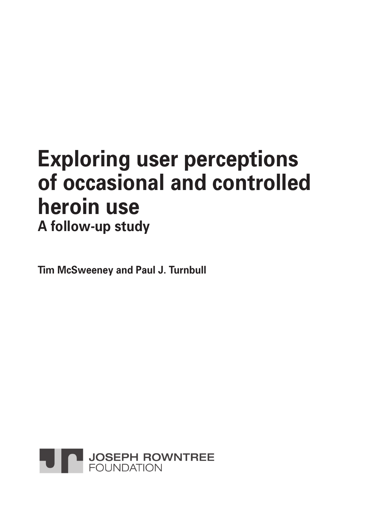# **Exploring user perceptions of occasional and controlled heroin use A follow-up study**

**Tim McSweeney and Paul J. Turnbull**

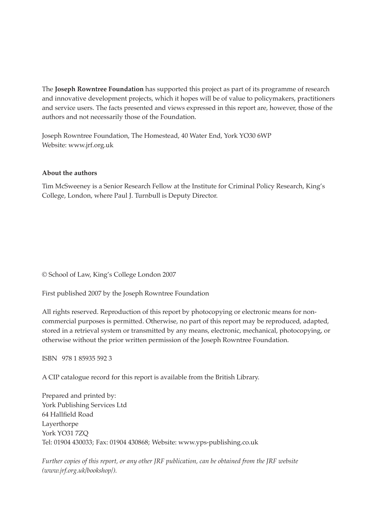The **Joseph Rowntree Foundation** has supported this project as part of its programme of research and innovative development projects, which it hopes will be of value to policymakers, practitioners and service users. The facts presented and views expressed in this report are, however, those of the authors and not necessarily those of the Foundation.

Joseph Rowntree Foundation, The Homestead, 40 Water End, York YO30 6WP Website: www.jrf.org.uk

#### **About the authors**

Tim McSweeney is a Senior Research Fellow at the Institute for Criminal Policy Research, King's College, London, where Paul J. Turnbull is Deputy Director.

© School of Law, King's College London 2007

First published 2007 by the Joseph Rowntree Foundation

All rights reserved. Reproduction of this report by photocopying or electronic means for noncommercial purposes is permitted. Otherwise, no part of this report may be reproduced, adapted, stored in a retrieval system or transmitted by any means, electronic, mechanical, photocopying, or otherwise without the prior written permission of the Joseph Rowntree Foundation.

ISBN 978 1 85935 592 3

A CIP catalogue record for this report is available from the British Library.

Prepared and printed by: York Publishing Services Ltd 64 Hallfield Road Layerthorpe York YO31 7ZQ Tel: 01904 430033; Fax: 01904 430868; Website: www.yps-publishing.co.uk

*Further copies of this report, or any other JRF publication, can be obtained from the JRF website (www.jrf.org.uk/bookshop/).*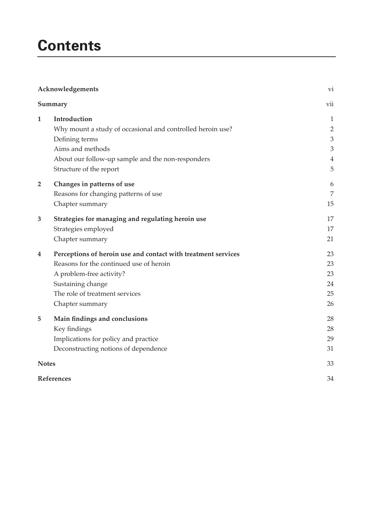# **Contents**

| Acknowledgements<br>Summary |                                                               | vi             |
|-----------------------------|---------------------------------------------------------------|----------------|
|                             |                                                               | vii            |
| $\mathbf{1}$                | Introduction                                                  | $\mathbf{1}$   |
|                             | Why mount a study of occasional and controlled heroin use?    | $\overline{2}$ |
|                             | Defining terms                                                | $\mathfrak{Z}$ |
|                             | Aims and methods                                              | 3              |
|                             | About our follow-up sample and the non-responders             | $\overline{4}$ |
|                             | Structure of the report                                       | 5              |
| $\overline{2}$              | Changes in patterns of use                                    | 6              |
|                             | Reasons for changing patterns of use                          | 7              |
|                             | Chapter summary                                               | 15             |
| 3                           | Strategies for managing and regulating heroin use             | 17             |
|                             | Strategies employed                                           | 17             |
|                             | Chapter summary                                               | 21             |
| 4                           | Perceptions of heroin use and contact with treatment services | 23             |
|                             | Reasons for the continued use of heroin                       | 23             |
|                             | A problem-free activity?                                      | 23             |
|                             | Sustaining change                                             | 24             |
|                             | The role of treatment services                                | 25             |
|                             | Chapter summary                                               | 26             |
| 5                           | Main findings and conclusions                                 | 28             |
|                             | Key findings                                                  | 28             |
|                             | Implications for policy and practice                          | 29             |
|                             | Deconstructing notions of dependence                          | 31             |
| <b>Notes</b>                |                                                               | 33             |
| References                  |                                                               | 34             |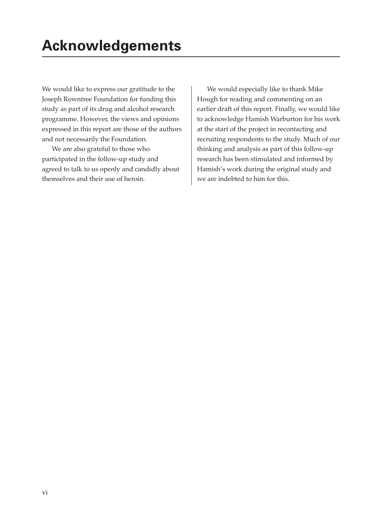We would like to express our gratitude to the Joseph Rowntree Foundation for funding this study as part of its drug and alcohol research programme. However, the views and opinions expressed in this report are those of the authors and not necessarily the Foundation.

We are also grateful to those who participated in the follow-up study and agreed to talk to us openly and candidly about themselves and their use of heroin.

We would especially like to thank Mike Hough for reading and commenting on an earlier draft of this report. Finally, we would like to acknowledge Hamish Warburton for his work at the start of the project in recontacting and recruiting respondents to the study. Much of our thinking and analysis as part of this follow-up research has been stimulated and informed by Hamish's work during the original study and we are indebted to him for this.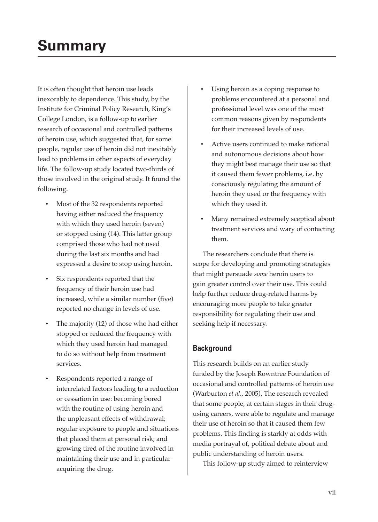# **Summary**

It is often thought that heroin use leads inexorably to dependence. This study, by the Institute for Criminal Policy Research, King's College London, is a follow-up to earlier research of occasional and controlled patterns of heroin use, which suggested that, for some people, regular use of heroin did not inevitably lead to problems in other aspects of everyday life. The follow-up study located two-thirds of those involved in the original study. It found the following.

- Most of the 32 respondents reported having either reduced the frequency with which they used heroin (seven) or stopped using (14). This latter group comprised those who had not used during the last six months and had expressed a desire to stop using heroin.
- Six respondents reported that the frequency of their heroin use had increased, while a similar number (five) reported no change in levels of use.
- The majority (12) of those who had either stopped or reduced the frequency with which they used heroin had managed to do so without help from treatment services.
- Respondents reported a range of interrelated factors leading to a reduction or cessation in use: becoming bored with the routine of using heroin and the unpleasant effects of withdrawal; regular exposure to people and situations that placed them at personal risk; and growing tired of the routine involved in maintaining their use and in particular acquiring the drug.
- Using heroin as a coping response to problems encountered at a personal and professional level was one of the most common reasons given by respondents for their increased levels of use.
- Active users continued to make rational and autonomous decisions about how they might best manage their use so that it caused them fewer problems, i.e. by consciously regulating the amount of heroin they used or the frequency with which they used it.
- Many remained extremely sceptical about treatment services and wary of contacting them.

The researchers conclude that there is scope for developing and promoting strategies that might persuade *some* heroin users to gain greater control over their use. This could help further reduce drug-related harms by encouraging more people to take greater responsibility for regulating their use and seeking help if necessary.

#### **Background**

This research builds on an earlier study funded by the Joseph Rowntree Foundation of occasional and controlled patterns of heroin use (Warburton *et al.*, 2005). The research revealed that some people, at certain stages in their drugusing careers, were able to regulate and manage their use of heroin so that it caused them few problems. This finding is starkly at odds with media portrayal of, political debate about and public understanding of heroin users.

This follow-up study aimed to reinterview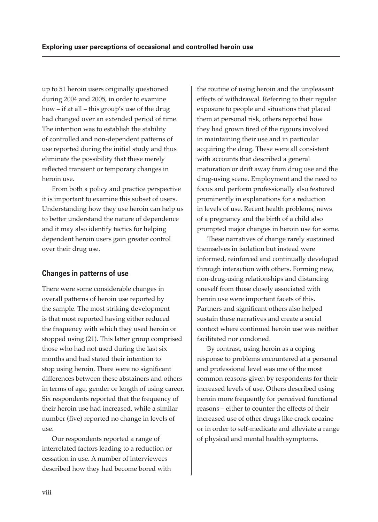up to 51 heroin users originally questioned during 2004 and 2005, in order to examine how – if at all – this group's use of the drug had changed over an extended period of time. The intention was to establish the stability of controlled and non-dependent patterns of use reported during the initial study and thus eliminate the possibility that these merely reflected transient or temporary changes in heroin use.

From both a policy and practice perspective it is important to examine this subset of users. Understanding how they use heroin can help us to better understand the nature of dependence and it may also identify tactics for helping dependent heroin users gain greater control over their drug use.

#### **Changes in patterns of use**

There were some considerable changes in overall patterns of heroin use reported by the sample. The most striking development is that most reported having either reduced the frequency with which they used heroin or stopped using (21). This latter group comprised those who had not used during the last six months and had stated their intention to stop using heroin. There were no significant differences between these abstainers and others in terms of age, gender or length of using career. Six respondents reported that the frequency of their heroin use had increased, while a similar number (five) reported no change in levels of use.

Our respondents reported a range of interrelated factors leading to a reduction or cessation in use. A number of interviewees described how they had become bored with

the routine of using heroin and the unpleasant effects of withdrawal. Referring to their regular exposure to people and situations that placed them at personal risk, others reported how they had grown tired of the rigours involved in maintaining their use and in particular acquiring the drug. These were all consistent with accounts that described a general maturation or drift away from drug use and the drug-using scene. Employment and the need to focus and perform professionally also featured prominently in explanations for a reduction in levels of use. Recent health problems, news of a pregnancy and the birth of a child also prompted major changes in heroin use for some.

These narratives of change rarely sustained themselves in isolation but instead were informed, reinforced and continually developed through interaction with others. Forming new, non-drug-using relationships and distancing oneself from those closely associated with heroin use were important facets of this. Partners and significant others also helped sustain these narratives and create a social context where continued heroin use was neither facilitated nor condoned.

By contrast, using heroin as a coping response to problems encountered at a personal and professional level was one of the most common reasons given by respondents for their increased levels of use. Others described using heroin more frequently for perceived functional reasons – either to counter the effects of their increased use of other drugs like crack cocaine or in order to self-medicate and alleviate a range of physical and mental health symptoms.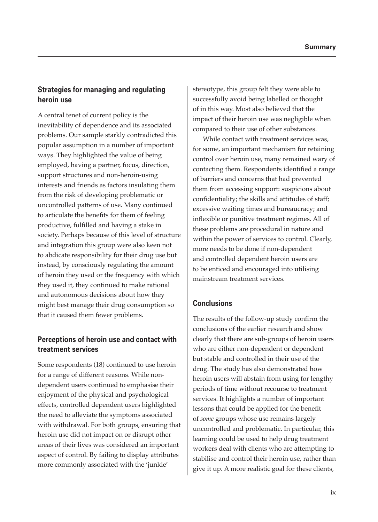### **Strategies for managing and regulating heroin use**

A central tenet of current policy is the inevitability of dependence and its associated problems. Our sample starkly contradicted this popular assumption in a number of important ways. They highlighted the value of being employed, having a partner, focus, direction, support structures and non-heroin-using interests and friends as factors insulating them from the risk of developing problematic or uncontrolled patterns of use. Many continued to articulate the benefits for them of feeling productive, fulfilled and having a stake in society. Perhaps because of this level of structure and integration this group were also keen not to abdicate responsibility for their drug use but instead, by consciously regulating the amount of heroin they used or the frequency with which they used it, they continued to make rational and autonomous decisions about how they might best manage their drug consumption so that it caused them fewer problems.

# **Perceptions of heroin use and contact with treatment services**

Some respondents (18) continued to use heroin for a range of different reasons. While nondependent users continued to emphasise their enjoyment of the physical and psychological effects, controlled dependent users highlighted the need to alleviate the symptoms associated with withdrawal. For both groups, ensuring that heroin use did not impact on or disrupt other areas of their lives was considered an important aspect of control. By failing to display attributes more commonly associated with the 'junkie'

stereotype, this group felt they were able to successfully avoid being labelled or thought of in this way. Most also believed that the impact of their heroin use was negligible when compared to their use of other substances.

While contact with treatment services was, for some, an important mechanism for retaining control over heroin use, many remained wary of contacting them. Respondents identified a range of barriers and concerns that had prevented them from accessing support: suspicions about confidentiality; the skills and attitudes of staff; excessive waiting times and bureaucracy; and inflexible or punitive treatment regimes. All of these problems are procedural in nature and within the power of services to control. Clearly, more needs to be done if non-dependent and controlled dependent heroin users are to be enticed and encouraged into utilising mainstream treatment services.

#### **Conclusions**

The results of the follow-up study confirm the conclusions of the earlier research and show clearly that there are sub-groups of heroin users who are either non-dependent or dependent but stable and controlled in their use of the drug. The study has also demonstrated how heroin users will abstain from using for lengthy periods of time without recourse to treatment services. It highlights a number of important lessons that could be applied for the benefit of *some* groups whose use remains largely uncontrolled and problematic. In particular, this learning could be used to help drug treatment workers deal with clients who are attempting to stabilise and control their heroin use, rather than give it up. A more realistic goal for these clients,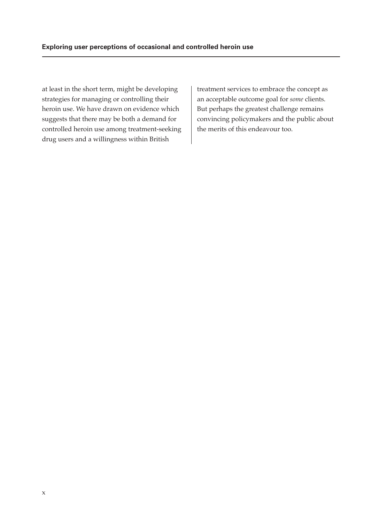at least in the short term, might be developing strategies for managing or controlling their heroin use. We have drawn on evidence which suggests that there may be both a demand for controlled heroin use among treatment-seeking drug users and a willingness within British

treatment services to embrace the concept as an acceptable outcome goal for *some* clients. But perhaps the greatest challenge remains convincing policymakers and the public about the merits of this endeavour too.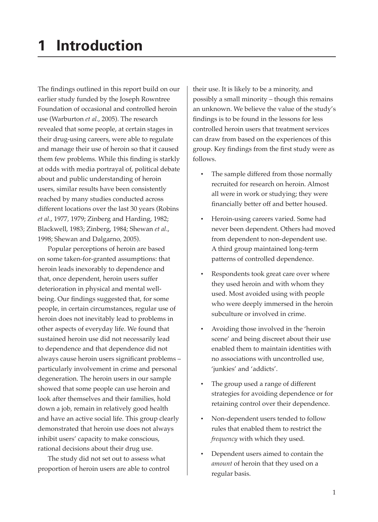The findings outlined in this report build on our earlier study funded by the Joseph Rowntree Foundation of occasional and controlled heroin use (Warburton *et al.*, 2005). The research revealed that some people, at certain stages in their drug-using careers, were able to regulate and manage their use of heroin so that it caused them few problems. While this finding is starkly at odds with media portrayal of, political debate about and public understanding of heroin users, similar results have been consistently reached by many studies conducted across different locations over the last 30 years (Robins *et al*., 1977, 1979; Zinberg and Harding, 1982; Blackwell, 1983; Zinberg, 1984; Shewan *et al*., 1998; Shewan and Dalgarno, 2005).

Popular perceptions of heroin are based on some taken-for-granted assumptions: that heroin leads inexorably to dependence and that, once dependent, heroin users suffer deterioration in physical and mental wellbeing. Our findings suggested that, for some people, in certain circumstances, regular use of heroin does not inevitably lead to problems in other aspects of everyday life. We found that sustained heroin use did not necessarily lead to dependence and that dependence did not always cause heroin users significant problems particularly involvement in crime and personal degeneration. The heroin users in our sample showed that some people can use heroin and look after themselves and their families, hold down a job, remain in relatively good health and have an active social life. This group clearly demonstrated that heroin use does not always inhibit users' capacity to make conscious, rational decisions about their drug use.

The study did not set out to assess what proportion of heroin users are able to control their use. It is likely to be a minority, and possibly a small minority – though this remains an unknown. We believe the value of the study's findings is to be found in the lessons for less controlled heroin users that treatment services can draw from based on the experiences of this group. Key findings from the first study were as follows.

- The sample differed from those normally recruited for research on heroin. Almost all were in work or studying; they were financially better off and better housed.
- Heroin-using careers varied. Some had never been dependent. Others had moved from dependent to non-dependent use. A third group maintained long-term patterns of controlled dependence.
- Respondents took great care over where they used heroin and with whom they used. Most avoided using with people who were deeply immersed in the heroin subculture or involved in crime.
- Avoiding those involved in the 'heroin scene' and being discreet about their use enabled them to maintain identities with no associations with uncontrolled use, 'junkies' and 'addicts'.
- The group used a range of different strategies for avoiding dependence or for retaining control over their dependence.
- Non-dependent users tended to follow rules that enabled them to restrict the *frequency* with which they used.
- Dependent users aimed to contain the *amount* of heroin that they used on a regular basis.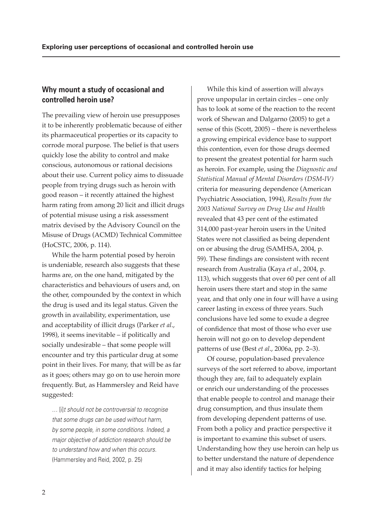#### **Why mount a study of occasional and controlled heroin use?**

The prevailing view of heroin use presupposes it to be inherently problematic because of either its pharmaceutical properties or its capacity to corrode moral purpose. The belief is that users quickly lose the ability to control and make conscious, autonomous or rational decisions about their use. Current policy aims to dissuade people from trying drugs such as heroin with good reason – it recently attained the highest harm rating from among 20 licit and illicit drugs of potential misuse using a risk assessment matrix devised by the Advisory Council on the Misuse of Drugs (ACMD) Technical Committee (HoCSTC, 2006, p. 114).

While the harm potential posed by heroin is undeniable, research also suggests that these harms are, on the one hand, mitigated by the characteristics and behaviours of users and, on the other, compounded by the context in which the drug is used and its legal status. Given the growth in availability, experimentation, use and acceptability of illicit drugs (Parker *et al*., 1998), it seems inevitable – if politically and socially undesirable – that some people will encounter and try this particular drug at some point in their lives. For many, that will be as far as it goes; others may go on to use heroin more frequently. But, as Hammersley and Reid have suggested:

*…* [i]*t should not be controversial to recognise that some drugs can be used without harm, by some people, in some conditions. Indeed, a major objective of addiction research should be to understand how and when this occurs.* (Hammersley and Reid, 2002, p. 25)

While this kind of assertion will always prove unpopular in certain circles – one only has to look at some of the reaction to the recent work of Shewan and Dalgarno (2005) to get a sense of this (Scott, 2005) – there is nevertheless a growing empirical evidence base to support this contention, even for those drugs deemed to present the greatest potential for harm such as heroin. For example, using the *Diagnostic and Statistical Manual of Mental Disorders (DSM-IV)* criteria for measuring dependence (American Psychiatric Association, 1994), *Results from the 2003 National Survey on Drug Use and Health* revealed that 43 per cent of the estimated 314,000 past-year heroin users in the United States were not classified as being dependent on or abusing the drug (SAMHSA, 2004, p. 59). These findings are consistent with recent research from Australia (Kaya *et al*., 2004, p. 113), which suggests that over 60 per cent of all heroin users there start and stop in the same year, and that only one in four will have a using career lasting in excess of three years. Such conclusions have led some to exude a degree of confidence that most of those who ever use heroin will not go on to develop dependent patterns of use (Best *et al*., 2006a, pp. 2–3).

Of course, population-based prevalence surveys of the sort referred to above, important though they are, fail to adequately explain or enrich our understanding of the processes that enable people to control and manage their drug consumption, and thus insulate them from developing dependent patterns of use. From both a policy and practice perspective it is important to examine this subset of users. Understanding how they use heroin can help us to better understand the nature of dependence and it may also identify tactics for helping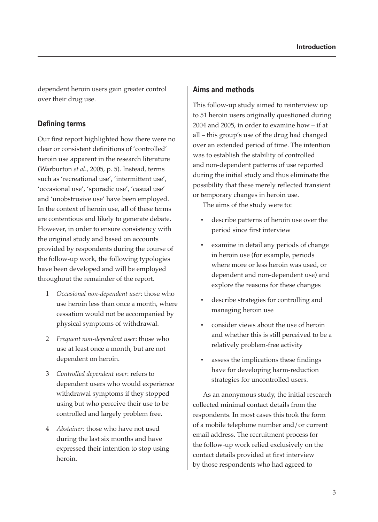dependent heroin users gain greater control over their drug use.

#### **Defining terms**

Our first report highlighted how there were no clear or consistent definitions of 'controlled' heroin use apparent in the research literature (Warburton *et al*., 2005, p. 5). Instead, terms such as 'recreational use', 'intermittent use', 'occasional use', 'sporadic use', 'casual use' and 'unobstrusive use' have been employed. In the context of heroin use, all of these terms are contentious and likely to generate debate. However, in order to ensure consistency with the original study and based on accounts provided by respondents during the course of the follow-up work, the following typologies have been developed and will be employed throughout the remainder of the report.

- 1 *Occasional non-dependent user*: those who use heroin less than once a month, where cessation would not be accompanied by physical symptoms of withdrawal.
- 2 *Frequent non-dependent user*: those who use at least once a month, but are not dependent on heroin.
- 3 *Controlled dependent user*: refers to dependent users who would experience withdrawal symptoms if they stopped using but who perceive their use to be controlled and largely problem free.
- 4 *Abstainer*: those who have not used during the last six months and have expressed their intention to stop using heroin.

#### **Aims and methods**

This follow-up study aimed to reinterview up to 51 heroin users originally questioned during 2004 and 2005, in order to examine how – if at all – this group's use of the drug had changed over an extended period of time. The intention was to establish the stability of controlled and non-dependent patterns of use reported during the initial study and thus eliminate the possibility that these merely reflected transient or temporary changes in heroin use.

The aims of the study were to:

- describe patterns of heroin use over the period since first interview
- examine in detail any periods of change in heroin use (for example, periods where more or less heroin was used, or dependent and non-dependent use) and explore the reasons for these changes
- describe strategies for controlling and managing heroin use
- consider views about the use of heroin and whether this is still perceived to be a relatively problem-free activity
- assess the implications these findings have for developing harm-reduction strategies for uncontrolled users.

As an anonymous study, the initial research collected minimal contact details from the respondents. In most cases this took the form of a mobile telephone number and/or current email address. The recruitment process for the follow-up work relied exclusively on the contact details provided at first interview by those respondents who had agreed to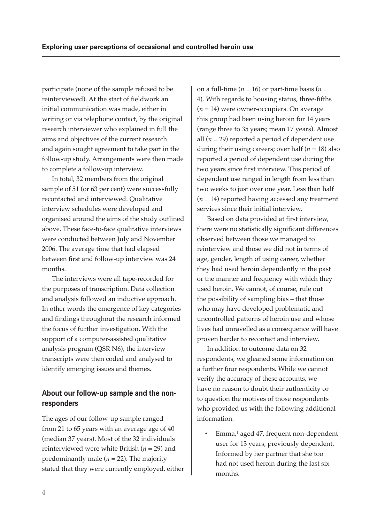participate (none of the sample refused to be reinterviewed). At the start of fieldwork an initial communication was made, either in writing or via telephone contact, by the original research interviewer who explained in full the aims and objectives of the current research and again sought agreement to take part in the follow-up study. Arrangements were then made to complete a follow-up interview.

In total, 32 members from the original sample of 51 (or 63 per cent) were successfully recontacted and interviewed. Qualitative interview schedules were developed and organised around the aims of the study outlined above. These face-to-face qualitative interviews were conducted between July and November 2006. The average time that had elapsed between first and follow-up interview was 24 months.

The interviews were all tape-recorded for the purposes of transcription. Data collection and analysis followed an inductive approach. In other words the emergence of key categories and findings throughout the research informed the focus of further investigation. With the support of a computer-assisted qualitative analysis program (QSR N6), the interview transcripts were then coded and analysed to identify emerging issues and themes.

### **About our follow-up sample and the nonresponders**

The ages of our follow-up sample ranged from 21 to 65 years with an average age of 40 (median 37 years). Most of the 32 individuals reinterviewed were white British (*n* = 29) and predominantly male  $(n = 22)$ . The majority stated that they were currently employed, either on a full-time ( $n = 16$ ) or part-time basis ( $n =$ 4). With regards to housing status, three-fifths (*n* = 14) were owner-occupiers. On average this group had been using heroin for 14 years (range three to 35 years; mean 17 years). Almost all  $(n = 29)$  reported a period of dependent use during their using careers; over half  $(n = 18)$  also reported a period of dependent use during the two years since first interview. This period of dependent use ranged in length from less than two weeks to just over one year. Less than half  $(n = 14)$  reported having accessed any treatment services since their initial interview.

Based on data provided at first interview, there were no statistically significant differences observed between those we managed to reinterview and those we did not in terms of age, gender, length of using career, whether they had used heroin dependently in the past or the manner and frequency with which they used heroin. We cannot, of course, rule out the possibility of sampling bias – that those who may have developed problematic and uncontrolled patterns of heroin use and whose lives had unravelled as a consequence will have proven harder to recontact and interview.

In addition to outcome data on 32 respondents, we gleaned some information on a further four respondents. While we cannot verify the accuracy of these accounts, we have no reason to doubt their authenticity or to question the motives of those respondents who provided us with the following additional information.

• Emma,<sup>1</sup> aged 47, frequent non-dependent user for 13 years, previously dependent. Informed by her partner that she too had not used heroin during the last six months.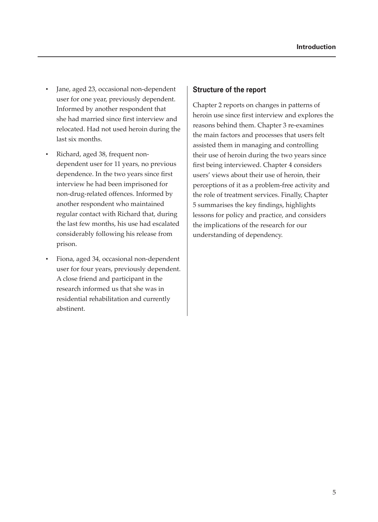- Jane, aged 23, occasional non-dependent user for one year, previously dependent. Informed by another respondent that she had married since first interview and relocated. Had not used heroin during the last six months.
- Richard, aged 38, frequent nondependent user for 11 years, no previous dependence. In the two years since first interview he had been imprisoned for non-drug-related offences. Informed by another respondent who maintained regular contact with Richard that, during the last few months, his use had escalated considerably following his release from prison.
- Fiona, aged 34, occasional non-dependent user for four years, previously dependent. A close friend and participant in the research informed us that she was in residential rehabilitation and currently abstinent.

#### **Structure of the report**

Chapter 2 reports on changes in patterns of heroin use since first interview and explores the reasons behind them. Chapter 3 re-examines the main factors and processes that users felt assisted them in managing and controlling their use of heroin during the two years since first being interviewed. Chapter 4 considers users' views about their use of heroin, their perceptions of it as a problem-free activity and the role of treatment services. Finally, Chapter 5 summarises the key findings, highlights lessons for policy and practice, and considers the implications of the research for our understanding of dependency.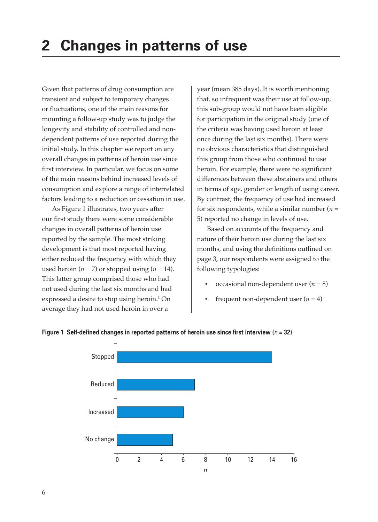Given that patterns of drug consumption are transient and subject to temporary changes or fluctuations, one of the main reasons for mounting a follow-up study was to judge the longevity and stability of controlled and nondependent patterns of use reported during the initial study. In this chapter we report on any overall changes in patterns of heroin use since first interview. In particular, we focus on some of the main reasons behind increased levels of consumption and explore a range of interrelated factors leading to a reduction or cessation in use.

As Figure 1 illustrates, two years after our first study there were some considerable changes in overall patterns of heroin use reported by the sample. The most striking development is that most reported having either reduced the frequency with which they used heroin  $(n = 7)$  or stopped using  $(n = 14)$ . This latter group comprised those who had not used during the last six months and had expressed a desire to stop using heroin.1 On average they had not used heroin in over a

year (mean 385 days). It is worth mentioning that, so infrequent was their use at follow-up, this sub-group would not have been eligible for participation in the original study (one of the criteria was having used heroin at least once during the last six months). There were no obvious characteristics that distinguished this group from those who continued to use heroin. For example, there were no significant differences between these abstainers and others in terms of age, gender or length of using career. By contrast, the frequency of use had increased for six respondents, while a similar number  $(n =$ 5) reported no change in levels of use.

Based on accounts of the frequency and nature of their heroin use during the last six months, and using the definitions outlined on page 3, our respondents were assigned to the following typologies:

- occasional non-dependent user  $(n = 8)$
- frequent non-dependent user  $(n = 4)$



#### **Figure 1 Self-defined changes in reported patterns of heroin use since first interview (** $n = 32$ **)**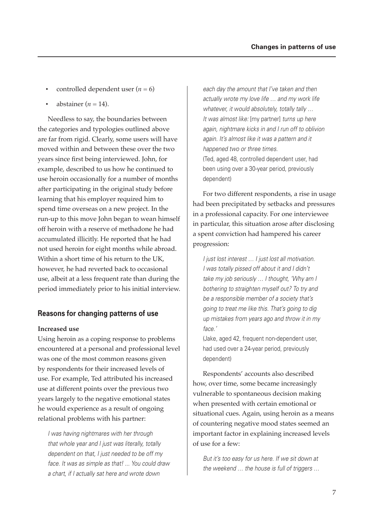- controlled dependent user  $(n = 6)$
- abstainer  $(n = 14)$ .

Needless to say, the boundaries between the categories and typologies outlined above are far from rigid. Clearly, some users will have moved within and between these over the two years since first being interviewed. John, for example, described to us how he continued to use heroin occasionally for a number of months after participating in the original study before learning that his employer required him to spend time overseas on a new project. In the run-up to this move John began to wean himself off heroin with a reserve of methadone he had accumulated illicitly. He reported that he had not used heroin for eight months while abroad. Within a short time of his return to the UK, however, he had reverted back to occasional use, albeit at a less frequent rate than during the period immediately prior to his initial interview.

#### **Reasons for changing patterns of use**

#### **Increased use**

Using heroin as a coping response to problems encountered at a personal and professional level was one of the most common reasons given by respondents for their increased levels of use. For example, Ted attributed his increased use at different points over the previous two years largely to the negative emotional states he would experience as a result of ongoing relational problems with his partner:

*I was having nightmares with her through that whole year and I just was literally, totally dependent on that, I just needed to be off my face. It was as simple as that! ... You could draw a chart, if I actually sat here and wrote down* 

*each day the amount that I've taken and then actually wrote my love life … and my work life whatever, it would absolutely, totally tally … It was almost like:* [my partner] *turns up here again, nightmare kicks in and I run off to oblivion again. It's almost like it was a pattern and it happened two or three times.* (Ted, aged 48, controlled dependent user, had been using over a 30-year period, previously dependent)

For two different respondents, a rise in usage had been precipitated by setbacks and pressures in a professional capacity. For one interviewee in particular, this situation arose after disclosing a spent conviction had hampered his career progression:

*I just lost interest … I just lost all motivation. I was totally pissed off about it and I didn't take my job seriously … I thought, 'Why am I bothering to straighten myself out? To try and be a responsible member of a society that's going to treat me like this. That's going to dig up mistakes from years ago and throw it in my face.'*

(Jake, aged 42, frequent non-dependent user, had used over a 24-year period, previously dependent)

Respondents' accounts also described how, over time, some became increasingly vulnerable to spontaneous decision making when presented with certain emotional or situational cues. Again, using heroin as a means of countering negative mood states seemed an important factor in explaining increased levels of use for a few:

*But it's too easy for us here. If we sit down at the weekend … the house is full of triggers …*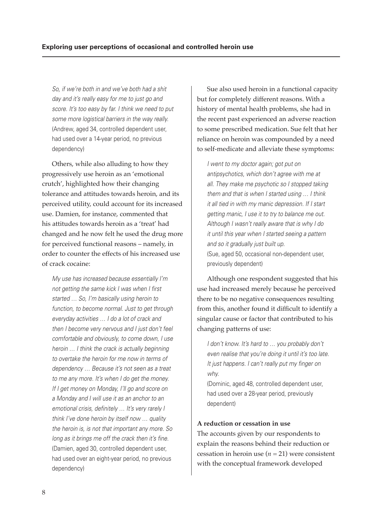*So, if we're both in and we've both had a shit day and it's really easy for me to just go and score. It's too easy by far. I think we need to put some more logistical barriers in the way really.* (Andrew, aged 34, controlled dependent user, had used over a 14-year period, no previous dependency)

Others, while also alluding to how they progressively use heroin as an 'emotional crutch', highlighted how their changing tolerance and attitudes towards heroin, and its perceived utility, could account for its increased use. Damien, for instance, commented that his attitudes towards heroin as a 'treat' had changed and he now felt he used the drug more for perceived functional reasons – namely, in order to counter the effects of his increased use of crack cocaine:

*My use has increased because essentially I'm*  not getting the same kick I was when I first *started … So, I'm basically using heroin to function, to become normal. Just to get through everyday activities … I do a lot of crack and then I become very nervous and I just don't feel comfortable and obviously, to come down, I use heroin … I think the crack is actually beginning to overtake the heroin for me now in terms of dependency … Because it's not seen as a treat to me any more. It's when I do get the money. If I get money on Monday, I'll go and score on a Monday and I will use it as an anchor to an emotional crisis, definitely ... It's very rarely I think I've done heroin by itself now … quality the heroin is, is not that important any more. So*  long as it brings me off the crack then it's fine. (Damien, aged 30, controlled dependent user, had used over an eight-year period, no previous dependency)

Sue also used heroin in a functional capacity but for completely different reasons. With a history of mental health problems, she had in the recent past experienced an adverse reaction to some prescribed medication. Sue felt that her reliance on heroin was compounded by a need to self-medicate and alleviate these symptoms:

*I went to my doctor again; got put on antipsychotics, which don't agree with me at all. They make me psychotic so I stopped taking them and that is when I started using … I think it all tied in with my manic depression. If I start getting manic, I use it to try to balance me out. Although I wasn't really aware that is why I do it until this year when I started seeing a pattern and so it gradually just built up.* (Sue, aged 50, occasional non-dependent user, previously dependent)

Although one respondent suggested that his use had increased merely because he perceived there to be no negative consequences resulting from this, another found it difficult to identify a singular cause or factor that contributed to his changing patterns of use:

*I don't know. It's hard to … you probably don't even realise that you're doing it until it's too late.*  It just happens. I can't really put my finger on *why.*

(Dominic, aged 48, controlled dependent user, had used over a 28-year period, previously dependent)

#### **A reduction or cessation in use**

The accounts given by our respondents to explain the reasons behind their reduction or cessation in heroin use  $(n = 21)$  were consistent with the conceptual framework developed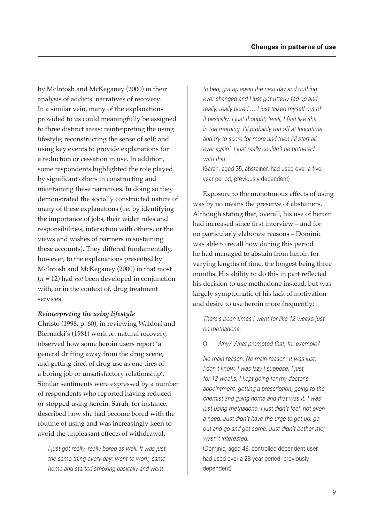by McIntosh and McKeganey (2000) in their analysis of addicts' narratives of recovery. In a similar vein, many of the explanations provided to us could meaningfully be assigned to three distinct areas: reinterpreting the using lifestyle; reconstructing the sense of self; and using key events to provide explanations for a reduction or cessation in use. In addition, some respondents highlighted the role played by significant others in constructing and maintaining these narratives. In doing so they demonstrated the socially constructed nature of many of these explanations (i.e. by identifying the importance of jobs, their wider roles and responsibilities, interaction with others, or the views and wishes of partners in sustaining these accounts). They differed fundamentally, however, to the explanations presented by McIntosh and McKeganey (2000) in that most (*n* = 12) had *not* been developed in conjunction with, or in the context of, drug treatment services.

#### *Reinterpreting the using lifestyle*

Christo (1998, p. 60), in reviewing Waldorf and Biernacki's (1981) work on natural recovery, observed how some heroin users report 'a general drifting away from the drug scene, and getting tired of drug use as one tires of a boring job or unsatisfactory relationship'. Similar sentiments were expressed by a number of respondents who reported having reduced or stopped using heroin. Sarah, for instance, described how she had become bored with the routine of using and was increasingly keen to avoid the unpleasant effects of withdrawal:

*I just got really, really bored as well. It was just the same thing every day: went to work, came home and started smoking basically and went* 

*to bed; got up again the next day and nothing ever changed and I just got utterly fed up and really, really bored … I just talked myself out of it basically. I just thought, 'well, I feel like shit in the morning. I'll probably run off at lunchtime and try to score for more and then I'll start all over again'. I just really couldn't be bothered with that.*

(Sarah, aged 35, abstainer, had used over a fiveyear period, previously dependent)

Exposure to the monotonous effects of using was by no means the preserve of abstainers. Although stating that, overall, his use of heroin had increased since first interview - and for no particularly elaborate reasons – Dominic was able to recall how during this period he had managed to abstain from heroin for varying lengths of time, the longest being three months. His ability to do this in part reflected his decision to use methadone instead, but was largely symptomatic of his lack of motivation and desire to use heroin more frequently:

*There's been times I went for like 12 weeks just on methadone.*

#### Q: *Why? What prompted that, for example?*

*No main reason. No main reason. It was just, I don't know. I was lazy I suppose. I just, for 12 weeks, I kept going for my doctor's appointment, getting a prescription, going to the chemist and going home and that was it. I was just using methadone. I just didn't feel, not even a need. Just didn't have the urge to get up, go out and go and get some. Just didn't bother me; wasn't interested.*

(Dominic, aged 48, controlled dependent user, had used over a 28-year period, previously dependent)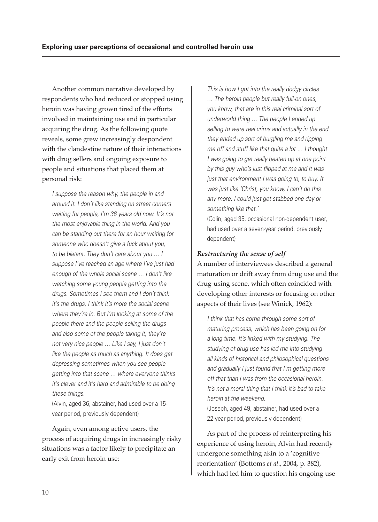Another common narrative developed by respondents who had reduced or stopped using heroin was having grown tired of the efforts involved in maintaining use and in particular acquiring the drug. As the following quote reveals, some grew increasingly despondent with the clandestine nature of their interactions with drug sellers and ongoing exposure to people and situations that placed them at personal risk:

*I suppose the reason why, the people in and around it. I don't like standing on street corners waiting for people, I'm 36 years old now. It's not the most enjoyable thing in the world. And you can be standing out there for an hour waiting for someone who doesn't give a fuck about you, to be blatant. They don't care about you … I suppose I've reached an age where I've just had enough of the whole social scene … I don't like watching some young people getting into the drugs. Sometimes I see them and I don't think it's the drugs, I think it's more the social scene where they're in. But I'm looking at some of the people there and the people selling the drugs and also some of the people taking it, they're not very nice people … Like I say, I just don't like the people as much as anything. It does get depressing sometimes when you see people getting into that scene … where everyone thinks it's clever and it's hard and admirable to be doing these things.*

(Alvin, aged 36, abstainer, had used over a 15 year period, previously dependent)

Again, even among active users, the process of acquiring drugs in increasingly risky situations was a factor likely to precipitate an early exit from heroin use:

*This is how I got into the really dodgy circles … The heroin people but really full-on ones, you know, that are in this real criminal sort of underworld thing … The people I ended up selling to were real crims and actually in the end they ended up sort of burgling me and ripping me off and stuff like that quite a lot … I thought I was going to get really beaten up at one point by this guy who's just fl ipped at me and it was just that environment I was going to, to buy. It was just like 'Christ, you know, I can't do this any more. I could just get stabbed one day or something like that.'*

(Colin, aged 35, occasional non-dependent user, had used over a seven-year period, previously dependent)

#### *Restructuring the sense of self*

A number of interviewees described a general maturation or drift away from drug use and the drug-using scene, which often coincided with developing other interests or focusing on other aspects of their lives (see Winick, 1962):

*I think that has come through some sort of maturing process, which has been going on for a long time. It's linked with my studying. The studying of drug use has led me into studying all kinds of historical and philosophical questions and gradually I just found that I'm getting more off that than I was from the occasional heroin. It's not a moral thing that I think it's bad to take heroin at the weekend.* (Joseph, aged 49, abstainer, had used over a 22-year period, previously dependent)

As part of the process of reinterpreting his experience of using heroin, Alvin had recently undergone something akin to a 'cognitive reorientation' (Bottoms *et al*., 2004, p. 382), which had led him to question his ongoing use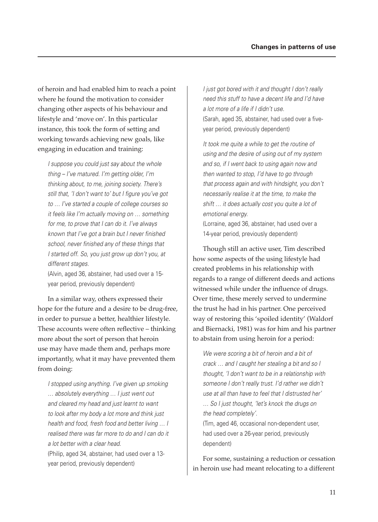of heroin and had enabled him to reach a point where he found the motivation to consider changing other aspects of his behaviour and lifestyle and 'move on'. In this particular instance, this took the form of setting and working towards achieving new goals, like engaging in education and training:

*I suppose you could just say about the whole thing – I've matured. I'm getting older, I'm thinking about, to me, joining society. There's*  still that, 'I don't want to' but I figure you've got *to … I've started a couple of college courses so it feels like I'm actually moving on … something for me, to prove that I can do it. I've always known that I've got a brain but I never finished* school, never finished any of these things that *I started off. So, you just grow up don't you, at different stages.*

(Alvin, aged 36, abstainer, had used over a 15 year period, previously dependent)

In a similar way, others expressed their hope for the future and a desire to be drug-free, in order to pursue a better, healthier lifestyle. These accounts were often reflective – thinking more about the sort of person that heroin use may have made them and, perhaps more importantly, what it may have prevented them from doing:

*I stopped using anything. I've given up smoking … absolutely everything … I just went out and cleared my head and just learnt to want to look after my body a lot more and think just health and food, fresh food and better living … I realised there was far more to do and I can do it a lot better with a clear head.* (Philip, aged 34, abstainer, had used over a 13 year period, previously dependent)

*I just got bored with it and thought I don't really need this stuff to have a decent life and I'd have a lot more of a life if I didn't use.* (Sarah, aged 35, abstainer, had used over a fiveyear period, previously dependent)

*It took me quite a while to get the routine of using and the desire of using out of my system and so, if I went back to using again now and then wanted to stop, I'd have to go through that process again and with hindsight, you don't necessarily realise it at the time, to make the shift … it does actually cost you quite a lot of emotional energy.*

(Lorraine, aged 36, abstainer, had used over a 14-year period, previously dependent)

Though still an active user, Tim described how some aspects of the using lifestyle had created problems in his relationship with regards to a range of different deeds and actions witnessed while under the influence of drugs. Over time, these merely served to undermine the trust he had in his partner. One perceived way of restoring this 'spoiled identity' (Waldorf and Biernacki, 1981) was for him and his partner to abstain from using heroin for a period:

*We were scoring a bit of heroin and a bit of crack … and I caught her stealing a bit and so I thought, 'I don't want to be in a relationship with someone I don't really trust. I'd rather we didn't use at all than have to feel that I distrusted her' … So I just thought, 'let's knock the drugs on the head completely'.*

(Tim, aged 46, occasional non-dependent user, had used over a 26-year period, previously dependent)

For some, sustaining a reduction or cessation in heroin use had meant relocating to a different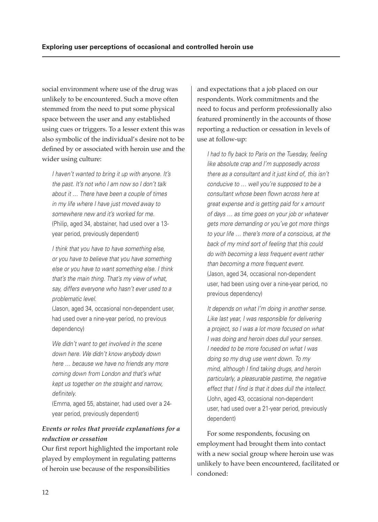social environment where use of the drug was unlikely to be encountered. Such a move often stemmed from the need to put some physical space between the user and any established using cues or triggers. To a lesser extent this was also symbolic of the individual's desire not to be defined by or associated with heroin use and the wider using culture:

*I haven't wanted to bring it up with anyone. It's the past. It's not who I am now so I don't talk about it … There have been a couple of times in my life where I have just moved away to somewhere new and it's worked for me.* (Philip, aged 34, abstainer, had used over a 13 year period, previously dependent)

*I think that you have to have something else, or you have to believe that you have something else or you have to want something else. I think that's the main thing. That's my view of what, say, differs everyone who hasn't ever used to a problematic level.*

(Jason, aged 34, occasional non-dependent user, had used over a nine-year period, no previous dependency)

*We didn't want to get involved in the scene down here. We didn't know anybody down here … because we have no friends any more coming down from London and that's what kept us together on the straight and narrow, defi nitely.*

(Emma, aged 55, abstainer, had used over a 24 year period, previously dependent)

# *Events or roles that provide explanations for a reduction or cessation*

Our first report highlighted the important role played by employment in regulating patterns of heroin use because of the responsibilities

and expectations that a job placed on our respondents. Work commitments and the need to focus and perform professionally also featured prominently in the accounts of those reporting a reduction or cessation in levels of use at follow-up:

*I had to fly back to Paris on the Tuesday, feeling like absolute crap and I'm supposedly across there as a consultant and it just kind of, this isn't conducive to … well you're supposed to be a consultant whose been flown across here at great expense and is getting paid for x amount of days … as time goes on your job or whatever gets more demanding or you've got more things to your life … there's more of a conscious, at the back of my mind sort of feeling that this could do with becoming a less frequent event rather than becoming a more frequent event.* (Jason, aged 34, occasional non-dependent user, had been using over a nine-year period, no previous dependency)

*It depends on what I'm doing in another sense. Like last year, I was responsible for delivering a project, so I was a lot more focused on what I was doing and heroin does dull your senses. I needed to be more focused on what I was doing so my drug use went down. To my mind, although I find taking drugs, and heroin particularly, a pleasurable pastime, the negative*  effect that I find is that it does dull the intellect. (John, aged 43, occasional non-dependent user, had used over a 21-year period, previously dependent)

For some respondents, focusing on employment had brought them into contact with a new social group where heroin use was unlikely to have been encountered, facilitated or condoned: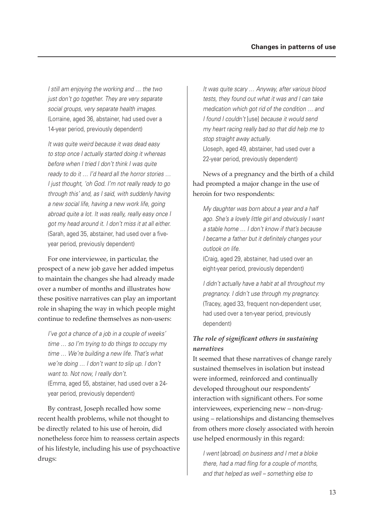*I still am enjoying the working and … the two just don't go together. They are very separate social groups, very separate health images.* (Lorraine, aged 36, abstainer, had used over a 14-year period, previously dependent)

*It was quite weird because it was dead easy to stop once I actually started doing it whereas before when I tried I don't think I was quite ready to do it … I'd heard all the horror stories … I just thought, 'oh God. I'm not really ready to go through this' and, as I said, with suddenly having a new social life, having a new work life, going abroad quite a lot. It was really, really easy once I got my head around it. I don't miss it at all either.* (Sarah, aged 35, abstainer, had used over a fiveyear period, previously dependent)

For one interviewee, in particular, the prospect of a new job gave her added impetus to maintain the changes she had already made over a number of months and illustrates how these positive narratives can play an important role in shaping the way in which people might continue to redefine themselves as non-users:

*I've got a chance of a job in a couple of weeks' time … so I'm trying to do things to occupy my time … We're building a new life. That's what we're doing … I don't want to slip up. I don't want to. Not now, I really don't.* (Emma, aged 55, abstainer, had used over a 24 year period, previously dependent)

By contrast, Joseph recalled how some recent health problems, while not thought to be directly related to his use of heroin, did nonetheless force him to reassess certain aspects of his lifestyle, including his use of psychoactive drugs:

*It was quite scary … Anyway, after various blood tests, they found out what it was and I can take medication which got rid of the condition … and I found I couldn't* [use] *because it would send my heart racing really bad so that did help me to stop straight away actually.* (Joseph, aged 49, abstainer, had used over a 22-year period, previously dependent)

News of a pregnancy and the birth of a child had prompted a major change in the use of heroin for two respondents:

*My daughter was born about a year and a half ago. She's a lovely little girl and obviously I want a stable home … I don't know if that's because*  I became a father but it definitely changes your *outlook on life.*

(Craig, aged 29, abstainer, had used over an eight-year period, previously dependent)

*I didn't actually have a habit at all throughout my pregnancy. I didn't use through my pregnancy.* (Tracey, aged 33, frequent non-dependent user, had used over a ten-year period, previously dependent)

#### *The role of signifi cant others in sustaining narratives*

It seemed that these narratives of change rarely sustained themselves in isolation but instead were informed, reinforced and continually developed throughout our respondents' interaction with significant others. For some interviewees, experiencing new – non-drugusing – relationships and distancing themselves from others more closely associated with heroin use helped enormously in this regard:

*I went* [abroad] *on business and I met a bloke there, had a mad fling for a couple of months, and that helped as well – something else to*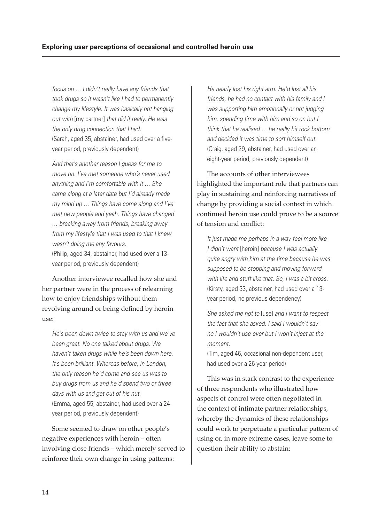*focus on … I didn't really have any friends that took drugs so it wasn't like I had to permanently change my lifestyle. It was basically not hanging out with* [my partner] *that did it really. He was the only drug connection that I had.* (Sarah, aged 35, abstainer, had used over a fiveyear period, previously dependent)

*And that's another reason I guess for me to move on. I've met someone who's never used anything and I'm comfortable with it … She came along at a later date but I'd already made my mind up … Things have come along and I've met new people and yeah. Things have changed … breaking away from friends, breaking away from my lifestyle that I was used to that I knew wasn't doing me any favours.* (Philip, aged 34, abstainer, had used over a 13 year period, previously dependent)

Another interviewee recalled how she and her partner were in the process of relearning how to enjoy friendships without them revolving around or being defined by heroin use:

*He's been down twice to stay with us and we've been great. No one talked about drugs. We haven't taken drugs while he's been down here. It's been brilliant. Whereas before, in London, the only reason he'd come and see us was to buy drugs from us and he'd spend two or three days with us and get out of his nut.* (Emma, aged 55, abstainer, had used over a 24 year period, previously dependent)

Some seemed to draw on other people's negative experiences with heroin – often involving close friends – which merely served to reinforce their own change in using patterns:

*He nearly lost his right arm. He'd lost all his friends, he had no contact with his family and I was supporting him emotionally or not judging him, spending time with him and so on but I think that he realised … he really hit rock bottom and decided it was time to sort himself out.* (Craig, aged 29, abstainer, had used over an eight-year period, previously dependent)

The accounts of other interviewees highlighted the important role that partners can play in sustaining and reinforcing narratives of change by providing a social context in which continued heroin use could prove to be a source of tension and conflict:

*It just made me perhaps in a way feel more like I didn't want* [heroin] *because I was actually quite angry with him at the time because he was supposed to be stopping and moving forward with life and stuff like that. So, I was a bit cross.* (Kirsty, aged 33, abstainer, had used over a 13 year period, no previous dependency)

*She asked me not to* [use] *and I want to respect the fact that she asked. I said I wouldn't say no I wouldn't use ever but I won't inject at the moment.*

(Tim, aged 46, occasional non-dependent user, had used over a 26-year period)

This was in stark contrast to the experience of three respondents who illustrated how aspects of control were often negotiated in the context of intimate partner relationships, whereby the dynamics of these relationships could work to perpetuate a particular pattern of using or, in more extreme cases, leave some to question their ability to abstain: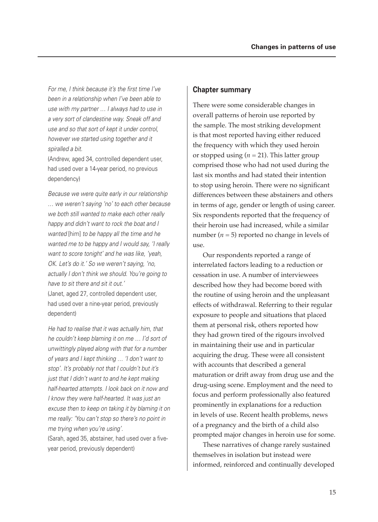For me, I think because it's the first time I've *been in a relationship when I've been able to use with my partner … I always had to use in a very sort of clandestine way. Sneak off and use and so that sort of kept it under control, however we started using together and it spiralled a bit.*

(Andrew, aged 34, controlled dependent user, had used over a 14-year period, no previous dependency)

*Because we were quite early in our relationship … we weren't saying 'no' to each other because we both still wanted to make each other really happy and didn't want to rock the boat and I wanted* [him] *to be happy all the time and he wanted me to be happy and I would say, 'I really want to score tonight' and he was like, 'yeah, OK. Let's do it.' So we weren't saying, 'no, actually I don't think we should. You're going to have to sit there and sit it out.'* (Janet, aged 27, controlled dependent user, had used over a nine-year period, previously dependent)

*He had to realise that it was actually him, that he couldn't keep blaming it on me … I'd sort of unwittingly played along with that for a number of years and I kept thinking … 'I don't want to stop'. It's probably not that I couldn't but it's just that I didn't want to and he kept making half-hearted attempts. I look back on it now and I know they were half-hearted. It was just an excuse then to keep on taking it by blaming it on me really: 'You can't stop so there's no point in me trying when you're using'.*

(Sarah, aged 35, abstainer, had used over a fiveyear period, previously dependent)

#### **Chapter summary**

There were some considerable changes in overall patterns of heroin use reported by the sample. The most striking development is that most reported having either reduced the frequency with which they used heroin or stopped using  $(n = 21)$ . This latter group comprised those who had not used during the last six months and had stated their intention to stop using heroin. There were no significant differences between these abstainers and others in terms of age, gender or length of using career. Six respondents reported that the frequency of their heroin use had increased, while a similar number  $(n = 5)$  reported no change in levels of use.

Our respondents reported a range of interrelated factors leading to a reduction or cessation in use. A number of interviewees described how they had become bored with the routine of using heroin and the unpleasant effects of withdrawal. Referring to their regular exposure to people and situations that placed them at personal risk, others reported how they had grown tired of the rigours involved in maintaining their use and in particular acquiring the drug. These were all consistent with accounts that described a general maturation or drift away from drug use and the drug-using scene. Employment and the need to focus and perform professionally also featured prominently in explanations for a reduction in levels of use. Recent health problems, news of a pregnancy and the birth of a child also prompted major changes in heroin use for some.

These narratives of change rarely sustained themselves in isolation but instead were informed, reinforced and continually developed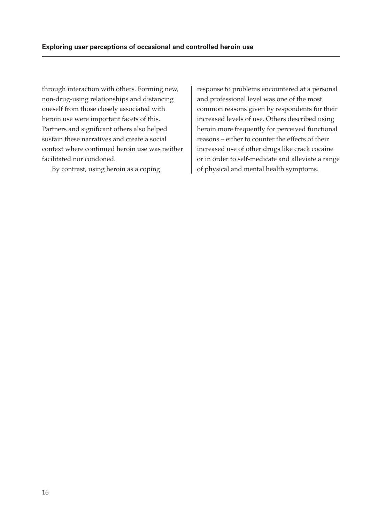through interaction with others. Forming new, non-drug-using relationships and distancing oneself from those closely associated with heroin use were important facets of this. Partners and significant others also helped sustain these narratives and create a social context where continued heroin use was neither facilitated nor condoned.

By contrast, using heroin as a coping

response to problems encountered at a personal and professional level was one of the most common reasons given by respondents for their increased levels of use. Others described using heroin more frequently for perceived functional reasons – either to counter the effects of their increased use of other drugs like crack cocaine or in order to self-medicate and alleviate a range of physical and mental health symptoms.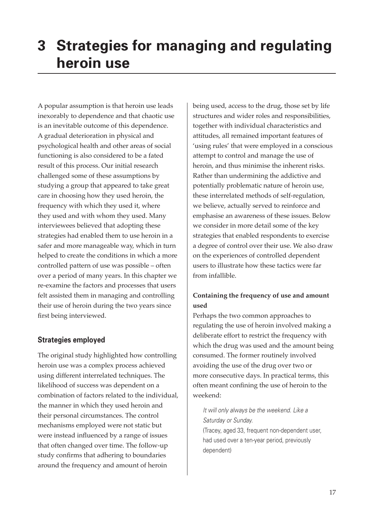# **3 Strategies for managing and regulating heroin use**

A popular assumption is that heroin use leads inexorably to dependence and that chaotic use is an inevitable outcome of this dependence. A gradual deterioration in physical and psychological health and other areas of social functioning is also considered to be a fated result of this process. Our initial research challenged some of these assumptions by studying a group that appeared to take great care in choosing how they used heroin, the frequency with which they used it, where they used and with whom they used. Many interviewees believed that adopting these strategies had enabled them to use heroin in a safer and more manageable way, which in turn helped to create the conditions in which a more controlled pattern of use was possible – often over a period of many years. In this chapter we re-examine the factors and processes that users felt assisted them in managing and controlling their use of heroin during the two years since first being interviewed.

#### **Strategies employed**

The original study highlighted how controlling heroin use was a complex process achieved using different interrelated techniques. The likelihood of success was dependent on a combination of factors related to the individual, the manner in which they used heroin and their personal circumstances. The control mechanisms employed were not static but were instead influenced by a range of issues that often changed over time. The follow-up study confirms that adhering to boundaries around the frequency and amount of heroin

being used, access to the drug, those set by life structures and wider roles and responsibilities, together with individual characteristics and attitudes, all remained important features of 'using rules' that were employed in a conscious attempt to control and manage the use of heroin, and thus minimise the inherent risks. Rather than undermining the addictive and potentially problematic nature of heroin use, these interrelated methods of self-regulation, we believe, actually served to reinforce and emphasise an awareness of these issues. Below we consider in more detail some of the key strategies that enabled respondents to exercise a degree of control over their use. We also draw on the experiences of controlled dependent users to illustrate how these tactics were far from infallible.

#### **Containing the frequency of use and amount used**

Perhaps the two common approaches to regulating the use of heroin involved making a deliberate effort to restrict the frequency with which the drug was used and the amount being consumed. The former routinely involved avoiding the use of the drug over two or more consecutive days. In practical terms, this often meant confining the use of heroin to the weekend:

*It will only always be the weekend. Like a Saturday or Sunday.* (Tracey, aged 33, frequent non-dependent user, had used over a ten-year period, previously dependent)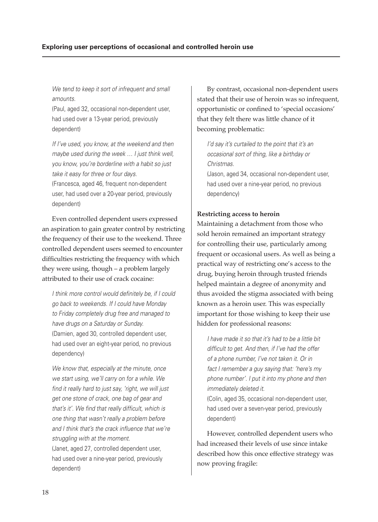*We tend to keep it sort of infrequent and small amounts.*

(Paul, aged 32, occasional non-dependent user, had used over a 13-year period, previously dependent)

*If I've used, you know, at the weekend and then maybe used during the week … I just think well, you know, you're borderline with a habit so just take it easy for three or four days.*

(Francesca, aged 46, frequent non-dependent user, had used over a 20-year period, previously dependent)

Even controlled dependent users expressed an aspiration to gain greater control by restricting the frequency of their use to the weekend. Three controlled dependent users seemed to encounter difficulties restricting the frequency with which they were using, though – a problem largely attributed to their use of crack cocaine:

*I think more control would definitely be, if I could go back to weekends. If I could have Monday to Friday completely drug free and managed to have drugs on a Saturday or Sunday.* (Damien, aged 30, controlled dependent user, had used over an eight-year period, no previous dependency)

*We know that, especially at the minute, once we start using, we'll carry on for a while. We fi nd it really hard to just say, 'right, we will just get one stone of crack, one bag of gear and*  that's it'. We find that really difficult, which is *one thing that wasn't really a problem before*  and I think that's the crack influence that we're *struggling with at the moment.*

(Janet, aged 27, controlled dependent user, had used over a nine-year period, previously dependent)

By contrast, occasional non-dependent users stated that their use of heroin was so infrequent, opportunistic or confined to 'special occasions' that they felt there was little chance of it becoming problematic:

*I'd say it's curtailed to the point that it's an occasional sort of thing, like a birthday or Christmas.*

(Jason, aged 34, occasional non-dependent user, had used over a nine-year period, no previous dependency)

#### **Restricting access to heroin**

Maintaining a detachment from those who sold heroin remained an important strategy for controlling their use, particularly among frequent or occasional users. As well as being a practical way of restricting one's access to the drug, buying heroin through trusted friends helped maintain a degree of anonymity and thus avoided the stigma associated with being known as a heroin user. This was especially important for those wishing to keep their use hidden for professional reasons:

*I have made it so that it's had to be a little bit*  difficult to get. And then, if I've had the offer *of a phone number, I've not taken it. Or in fact I remember a guy saying that: 'here's my phone number'. I put it into my phone and then immediately deleted it.*

(Colin, aged 35, occasional non-dependent user, had used over a seven-year period, previously dependent)

However, controlled dependent users who had increased their levels of use since intake described how this once effective strategy was now proving fragile: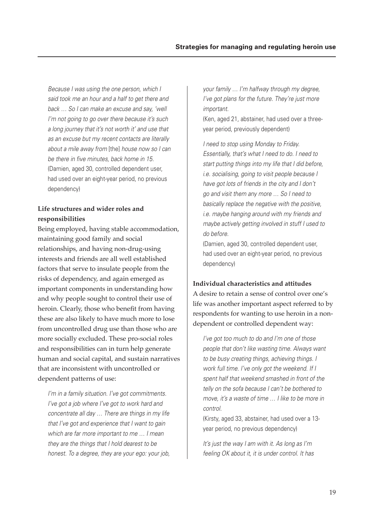*Because I was using the one person, which I said took me an hour and a half to get there and back … So I can make an excuse and say, 'well I'm not going to go over there because it's such a long journey that it's not worth it' and use that as an excuse but my recent contacts are literally about a mile away from* [the] *house now so I can*  be there in five minutes, back home in 15. (Damien, aged 30, controlled dependent user, had used over an eight-year period, no previous dependency)

### **Life structures and wider roles and responsibilities**

Being employed, having stable accommodation, maintaining good family and social relationships, and having non-drug-using interests and friends are all well established factors that serve to insulate people from the risks of dependency, and again emerged as important components in understanding how and why people sought to control their use of heroin. Clearly, those who benefit from having these are also likely to have much more to lose from uncontrolled drug use than those who are more socially excluded. These pro-social roles and responsibilities can in turn help generate human and social capital, and sustain narratives that are inconsistent with uncontrolled or dependent patterns of use:

*I'm in a family situation. I've got commitments. I've got a job where I've got to work hard and concentrate all day … There are things in my life that I've got and experience that I want to gain which are far more important to me … I mean they are the things that I hold dearest to be honest. To a degree, they are your ego: your job,* 

*your family … I'm halfway through my degree, I've got plans for the future. They're just more important.*

(Ken, aged 21, abstainer, had used over a threeyear period, previously dependent)

*I need to stop using Monday to Friday. Essentially, that's what I need to do. I need to start putting things into my life that I did before, i.e. socialising, going to visit people because I have got lots of friends in the city and I don't go and visit them any more … So I need to basically replace the negative with the positive, i.e. maybe hanging around with my friends and maybe actively getting involved in stuff I used to do before.*

(Damien, aged 30, controlled dependent user, had used over an eight-year period, no previous dependency)

#### **Individual characteristics and attitudes**

A desire to retain a sense of control over one's life was another important aspect referred to by respondents for wanting to use heroin in a nondependent or controlled dependent way:

*I've got too much to do and I'm one of those people that don't like wasting time. Always want to be busy creating things, achieving things. I work full time. I've only got the weekend. If I spent half that weekend smashed in front of the telly on the sofa because I can't be bothered to move, it's a waste of time … I like to be more in control.*

(Kirsty, aged 33, abstainer, had used over a 13 year period, no previous dependency)

*It's just the way I am with it. As long as I'm feeling OK about it, it is under control. It has*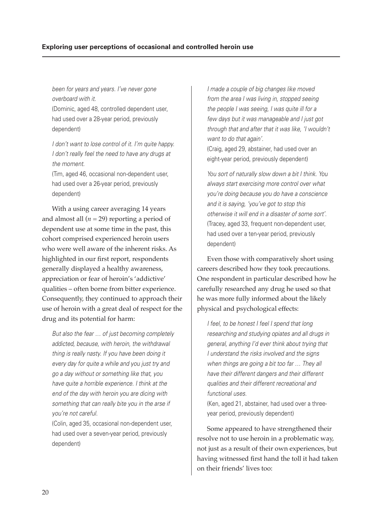*been for years and years. I've never gone overboard with it.*

(Dominic, aged 48, controlled dependent user, had used over a 28-year period, previously dependent)

*I don't want to lose control of it. I'm quite happy. I don't really feel the need to have any drugs at the moment.*

(Tim, aged 46, occasional non-dependent user, had used over a 26-year period, previously dependent)

With a using career averaging 14 years and almost all  $(n = 29)$  reporting a period of dependent use at some time in the past, this cohort comprised experienced heroin users who were well aware of the inherent risks. As highlighted in our first report, respondents generally displayed a healthy awareness, appreciation or fear of heroin's 'addictive' qualities – often borne from bitter experience. Consequently, they continued to approach their use of heroin with a great deal of respect for the drug and its potential for harm:

*But also the fear … of just becoming completely addicted, because, with heroin, the withdrawal thing is really nasty. If you have been doing it every day for quite a while and you just try and go a day without or something like that, you have quite a horrible experience. I think at the end of the day with heroin you are dicing with something that can really bite you in the arse if you're not careful.*

(Colin, aged 35, occasional non-dependent user, had used over a seven-year period, previously dependent)

*I made a couple of big changes like moved from the area I was living in, stopped seeing the people I was seeing, I was quite ill for a few days but it was manageable and I just got through that and after that it was like, 'I wouldn't want to do that again'.*

(Craig, aged 29, abstainer, had used over an eight-year period, previously dependent)

*You sort of naturally slow down a bit I think. You always start exercising more control over what you're doing because you do have a conscience and it is saying, 'you've got to stop this otherwise it will end in a disaster of some sort'.* (Tracey, aged 33, frequent non-dependent user, had used over a ten-year period, previously dependent)

Even those with comparatively short using careers described how they took precautions. One respondent in particular described how he carefully researched any drug he used so that he was more fully informed about the likely physical and psychological effects:

*I feel, to be honest I feel I spend that long researching and studying opiates and all drugs in general, anything I'd ever think about trying that I understand the risks involved and the signs when things are going a bit too far … They all have their different dangers and their different qualities and their different recreational and functional uses.*

(Ken, aged 21, abstainer, had used over a threeyear period, previously dependent)

Some appeared to have strengthened their resolve not to use heroin in a problematic way, not just as a result of their own experiences, but having witnessed first hand the toll it had taken on their friends' lives too: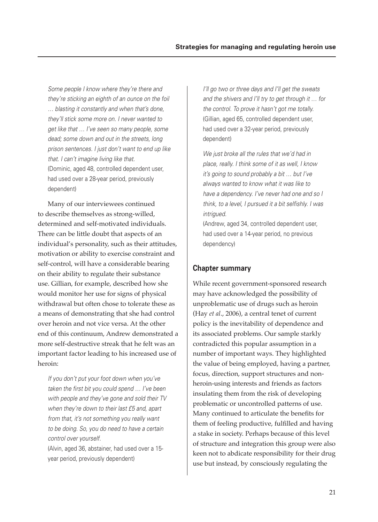*Some people I know where they're there and they're sticking an eighth of an ounce on the foil … blasting it constantly and when that's done, they'll stick some more on. I never wanted to get like that … I've seen so many people, some dead; some down and out in the streets, long prison sentences. I just don't want to end up like that. I can't imagine living like that.* (Dominic, aged 48, controlled dependent user, had used over a 28-year period, previously dependent)

Many of our interviewees continued to describe themselves as strong-willed, determined and self-motivated individuals. There can be little doubt that aspects of an individual's personality, such as their attitudes, motivation or ability to exercise constraint and self-control, will have a considerable bearing on their ability to regulate their substance use. Gillian, for example, described how she would monitor her use for signs of physical withdrawal but often chose to tolerate these as a means of demonstrating that she had control over heroin and not vice versa. At the other end of this continuum, Andrew demonstrated a more self-destructive streak that he felt was an important factor leading to his increased use of heroin:

*If you don't put your foot down when you've*  taken the first bit you could spend ... I've been *with people and they've gone and sold their TV when they're down to their last £5 and, apart from that, it's not something you really want to be doing. So, you do need to have a certain control over yourself.*

(Alvin, aged 36, abstainer, had used over a 15 year period, previously dependent)

*I'll go two or three days and I'll get the sweats and the shivers and I'll try to get through it … for the control. To prove it hasn't got me totally.* (Gillian, aged 65, controlled dependent user, had used over a 32-year period, previously dependent)

*We just broke all the rules that we'd had in place, really. I think some of it as well, I know it's going to sound probably a bit … but I've always wanted to know what it was like to have a dependency. I've never had one and so I*  think, to a level, I pursued it a bit selfishly. I was *intrigued.*

(Andrew, aged 34, controlled dependent user, had used over a 14-year period, no previous dependency)

#### **Chapter summary**

While recent government-sponsored research may have acknowledged the possibility of unproblematic use of drugs such as heroin (Hay *et al*., 2006), a central tenet of current policy is the inevitability of dependence and its associated problems. Our sample starkly contradicted this popular assumption in a number of important ways. They highlighted the value of being employed, having a partner, focus, direction, support structures and nonheroin-using interests and friends as factors insulating them from the risk of developing problematic or uncontrolled patterns of use. Many continued to articulate the benefits for them of feeling productive, fulfilled and having a stake in society. Perhaps because of this level of structure and integration this group were also keen not to abdicate responsibility for their drug use but instead, by consciously regulating the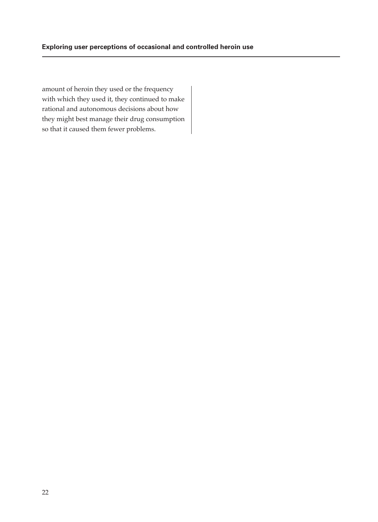amount of heroin they used or the frequency with which they used it, they continued to make rational and autonomous decisions about how they might best manage their drug consumption so that it caused them fewer problems.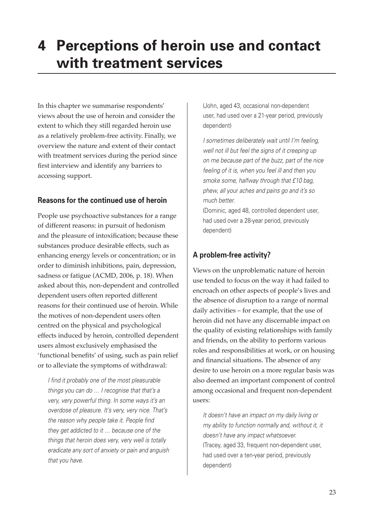# **4 Perceptions of heroin use and contact with treatment services**

In this chapter we summarise respondents' views about the use of heroin and consider the extent to which they still regarded heroin use as a relatively problem-free activity. Finally, we overview the nature and extent of their contact with treatment services during the period since first interview and identify any barriers to accessing support.

#### **Reasons for the continued use of heroin**

People use psychoactive substances for a range of different reasons: in pursuit of hedonism and the pleasure of intoxification; because these substances produce desirable effects, such as enhancing energy levels or concentration; or in order to diminish inhibitions, pain, depression, sadness or fatigue (ACMD, 2006, p. 18). When asked about this, non-dependent and controlled dependent users often reported different reasons for their continued use of heroin. While the motives of non-dependent users often centred on the physical and psychological effects induced by heroin, controlled dependent users almost exclusively emphasised the 'functional benefits' of using, such as pain relief or to alleviate the symptoms of withdrawal:

*I find it probably one of the most pleasurable things you can do … I recognise that that's a very, very powerful thing. In some ways it's an overdose of pleasure. It's very, very nice. That's*  the reason why people take it. People find *they get addicted to it … because one of the things that heroin does very, very well is totally eradicate any sort of anxiety or pain and anguish that you have.*

(John, aged 43, occasional non-dependent user, had used over a 21-year period, previously dependent)

*I sometimes deliberately wait until I'm feeling, well not ill but feel the signs of it creeping up on me because part of the buzz, part of the nice feeling of it is, when you feel ill and then you smoke some, halfway through that £10 bag, phew, all your aches and pains go and it's so much better.*

(Dominic, aged 48, controlled dependent user, had used over a 28-year period, previously dependent)

# **A problem-free activity?**

Views on the unproblematic nature of heroin use tended to focus on the way it had failed to encroach on other aspects of people's lives and the absence of disruption to a range of normal daily activities – for example, that the use of heroin did not have any discernable impact on the quality of existing relationships with family and friends, on the ability to perform various roles and responsibilities at work, or on housing and financial situations. The absence of any desire to use heroin on a more regular basis was also deemed an important component of control among occasional and frequent non-dependent users:

*It doesn't have an impact on my daily living or my ability to function normally and, without it, it doesn't have any impact whatsoever.* (Tracey, aged 33, frequent non-dependent user, had used over a ten-year period, previously dependent)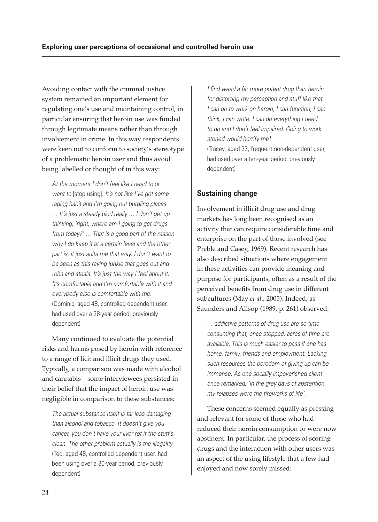Avoiding contact with the criminal justice system remained an important element for regulating one's use and maintaining control, in particular ensuring that heroin use was funded through legitimate means rather than through involvement in crime. In this way respondents were keen not to conform to society's stereotype of a problematic heroin user and thus avoid being labelled or thought of in this way:

*At the moment I don't feel like I need to or want to* [stop using]*. It's not like I've got some raging habit and I'm going out burgling places … It's just a steady plod really … I don't get up thinking, 'right, where am I going to get drugs from today?' … That is a good part of the reason why I do keep it at a certain level and the other part is, it just suits me that way. I don't want to be seen as this raving junkie that goes out and robs and steals. It's just the way I feel about it. It's comfortable and I'm comfortable with it and everybody else is comfortable with me.* (Dominic, aged 48, controlled dependent user, had used over a 28-year period, previously dependent)

Many continued to evaluate the potential risks and harms posed by heroin with reference to a range of licit and illicit drugs they used. Typically, a comparison was made with alcohol and cannabis – some interviewees persisted in their belief that the impact of heroin use was negligible in comparison to these substances:

*The actual substance itself is far less damaging than alcohol and tobacco. It doesn't give you cancer, you don't have your liver rot if the stuff's clean. The other problem actually is the illegality.* (Ted, aged 48, controlled dependent user, had been using over a 30-year period, previously dependent)

*I find weed a far more potent drug than heroin for distorting my perception and stuff like that. I can go to work on heroin, I can function, I can think, I can write. I can do everything I need to do and I don't feel impaired. Going to work stoned would horrify me!* (Tracey, aged 33, frequent non-dependent user, had used over a ten-year period, previously dependent)

# **Sustaining change**

Involvement in illicit drug use and drug markets has long been recognised as an activity that can require considerable time and enterprise on the part of those involved (see Preble and Casey, 1969). Recent research has also described situations where engagement in these activities can provide meaning and purpose for participants, often as a result of the perceived benefits from drug use in different subcultures (May *et al*., 2005). Indeed, as Saunders and Allsop (1989, p. 261) observed:

*… addictive patterns of drug use are so time consuming that, once stopped, acres of time are available. This is much easier to pass if one has home, family, friends and employment. Lacking such resources the boredom of giving up can be immense. As one socially impoverished client once remarked, 'in the grey days of abstention my relapses were the fireworks of life'.* 

These concerns seemed equally as pressing and relevant for some of those who had reduced their heroin consumption or were now abstinent. In particular, the process of scoring drugs and the interaction with other users was an aspect of the using lifestyle that a few had enjoyed and now sorely missed: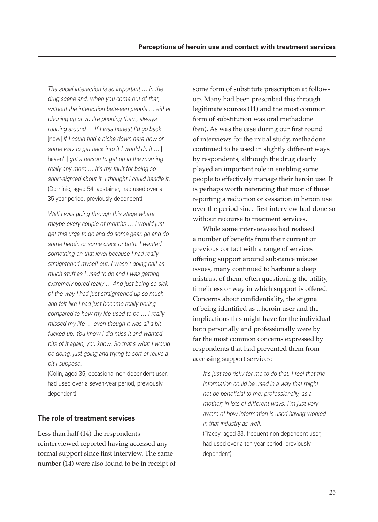*The social interaction is so important … in the drug scene and, when you come out of that, without the interaction between people … either phoning up or you're phoning them, always running around … If I was honest I'd go back*  [now] *if I could find a niche down here now or some way to get back into it I would do it …* [I haven't] *got a reason to get up in the morning really any more … it's my fault for being so short-sighted about it. I thought I could handle it.* (Dominic, aged 54, abstainer, had used over a 35-year period, previously dependent)

*Well I was going through this stage where maybe every couple of months … I would just get this urge to go and do some gear, go and do some heroin or some crack or both. I wanted something on that level because I had really straightened myself out. I wasn't doing half as much stuff as I used to do and I was getting extremely bored really … And just being so sick of the way I had just straightened up so much and felt like I had just become really boring compared to how my life used to be … I really missed my life … even though it was all a bit fucked up. You know I did miss it and wanted bits of it again, you know. So that's what I would be doing, just going and trying to sort of relive a bit I suppose.*

(Colin, aged 35, occasional non-dependent user, had used over a seven-year period, previously dependent)

#### **The role of treatment services**

Less than half (14) the respondents reinterviewed reported having accessed any formal support since first interview. The same number (14) were also found to be in receipt of some form of substitute prescription at followup. Many had been prescribed this through legitimate sources (11) and the most common form of substitution was oral methadone (ten). As was the case during our first round of interviews for the initial study, methadone continued to be used in slightly different ways by respondents, although the drug clearly played an important role in enabling some people to effectively manage their heroin use. It is perhaps worth reiterating that most of those reporting a reduction or cessation in heroin use over the period since first interview had done so without recourse to treatment services.

While some interviewees had realised a number of benefits from their current or previous contact with a range of services offering support around substance misuse issues, many continued to harbour a deep mistrust of them, often questioning the utility, timeliness or way in which support is offered. Concerns about confidentiality, the stigma of being identified as a heroin user and the implications this might have for the individual both personally and professionally were by far the most common concerns expressed by respondents that had prevented them from accessing support services:

*It's just too risky for me to do that. I feel that the information could be used in a way that might*  not be beneficial to me: professionally, as a *mother; in lots of different ways. I'm just very aware of how information is used having worked in that industry as well.* (Tracey, aged 33, frequent non-dependent user,

had used over a ten-year period, previously dependent)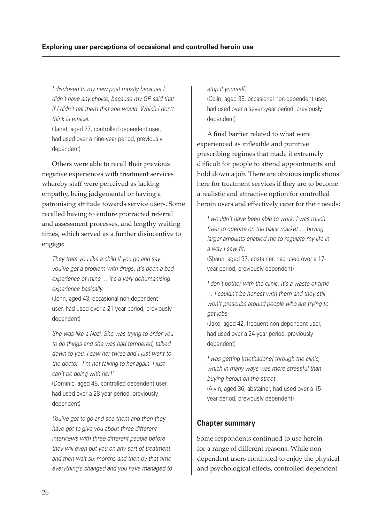*I disclosed to my new post mostly because I didn't have any choice, because my GP said that if I didn't tell them that she would. Which I don't think is ethical.*

(Janet, aged 27, controlled dependent user, had used over a nine-year period, previously dependent)

Others were able to recall their previous negative experiences with treatment services whereby staff were perceived as lacking empathy, being judgemental or having a patronising attitude towards service users. Some recalled having to endure protracted referral and assessment processes, and lengthy waiting times, which served as a further disincentive to engage:

*They treat you like a child if you go and say you've got a problem with drugs. It's been a bad experience of mine … it's a very dehumanising experience basically.*

(John, aged 43, occasional non-dependent user, had used over a 21-year period, previously dependent)

*She was like a Nazi. She was trying to order you to do things and she was bad tempered, talked down to you. I saw her twice and I just went to the doctor, 'I'm not talking to her again. I just can't be doing with her!'*

(Dominic, aged 48, controlled dependent user, had used over a 28-year period, previously dependent)

*You've got to go and see them and then they have got to give you about three different interviews with three different people before they will even put you on any sort of treatment and then wait six months and then by that time everything's changed and you have managed to*  *stop it yourself.*

(Colin, aged 35, occasional non-dependent user, had used over a seven-year period, previously dependent)

A final barrier related to what were experienced as inflexible and punitive prescribing regimes that made it extremely difficult for people to attend appointments and hold down a job. There are obvious implications here for treatment services if they are to become a realistic and attractive option for controlled heroin users and effectively cater for their needs:

*I wouldn't have been able to work. I was much freer to operate on the black market … buying larger amounts enabled me to regulate my life in a way I saw fi t.*

(Shaun, aged 37, abstainer, had used over a 17 year period, previously dependent)

*I don't bother with the clinic. It's a waste of time … I couldn't be honest with them and they still won't prescribe around people who are trying to get jobs.*

(Jake, aged 42, frequent non-dependent user, had used over a 24-year period, previously dependent)

*I was getting [methadone] through the clinic, which in many ways was more stressful than buying heroin on the street.* (Alvin, aged 36, abstainer, had used over a 15 year period, previously dependent)

#### **Chapter summary**

Some respondents continued to use heroin for a range of different reasons. While nondependent users continued to enjoy the physical and psychological effects, controlled dependent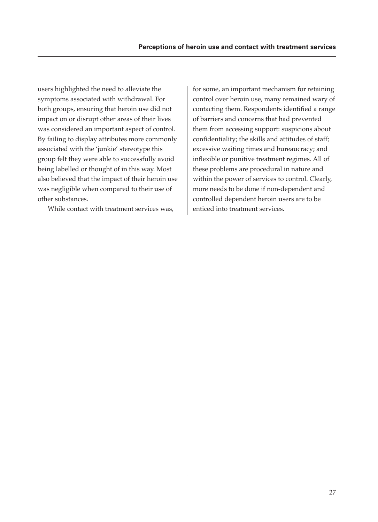users highlighted the need to alleviate the symptoms associated with withdrawal. For both groups, ensuring that heroin use did not impact on or disrupt other areas of their lives was considered an important aspect of control. By failing to display attributes more commonly associated with the 'junkie' stereotype this group felt they were able to successfully avoid being labelled or thought of in this way. Most also believed that the impact of their heroin use was negligible when compared to their use of other substances.

While contact with treatment services was,

for some, an important mechanism for retaining control over heroin use, many remained wary of contacting them. Respondents identified a range of barriers and concerns that had prevented them from accessing support: suspicions about confidentiality; the skills and attitudes of staff; excessive waiting times and bureaucracy; and inflexible or punitive treatment regimes. All of these problems are procedural in nature and within the power of services to control. Clearly, more needs to be done if non-dependent and controlled dependent heroin users are to be enticed into treatment services.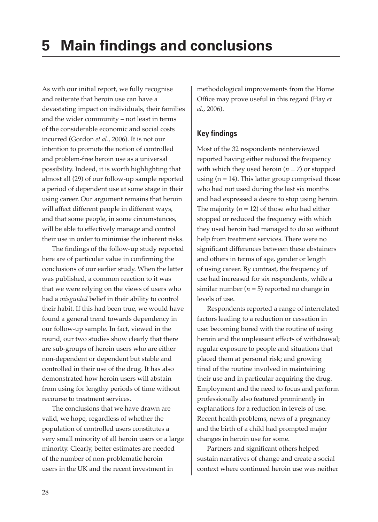As with our initial report, we fully recognise and reiterate that heroin use can have a devastating impact on individuals, their families and the wider community – not least in terms of the considerable economic and social costs incurred (Gordon *et al*., 2006). It is not our intention to promote the notion of controlled and problem-free heroin use as a universal possibility. Indeed, it is worth highlighting that almost all (29) of our follow-up sample reported a period of dependent use at some stage in their using career. Our argument remains that heroin will affect different people in different ways, and that some people, in some circumstances, will be able to effectively manage and control their use in order to minimise the inherent risks.

The findings of the follow-up study reported here are of particular value in confirming the conclusions of our earlier study. When the latter was published, a common reaction to it was that we were relying on the views of users who had a *misguided* belief in their ability to control their habit. If this had been true, we would have found a general trend towards dependency in our follow-up sample. In fact, viewed in the round, our two studies show clearly that there are sub-groups of heroin users who are either non-dependent or dependent but stable and controlled in their use of the drug. It has also demonstrated how heroin users will abstain from using for lengthy periods of time without recourse to treatment services.

The conclusions that we have drawn are valid, we hope, regardless of whether the population of controlled users constitutes a very small minority of all heroin users or a large minority. Clearly, better estimates are needed of the number of non-problematic heroin users in the UK and the recent investment in

methodological improvements from the Home Office may prove useful in this regard (Hay *et al*., 2006).

# **Key findings**

Most of the 32 respondents reinterviewed reported having either reduced the frequency with which they used heroin  $(n = 7)$  or stopped using  $(n = 14)$ . This latter group comprised those who had not used during the last six months and had expressed a desire to stop using heroin. The majority  $(n = 12)$  of those who had either stopped or reduced the frequency with which they used heroin had managed to do so without help from treatment services. There were no significant differences between these abstainers and others in terms of age, gender or length of using career. By contrast, the frequency of use had increased for six respondents, while a similar number  $(n = 5)$  reported no change in levels of use.

Respondents reported a range of interrelated factors leading to a reduction or cessation in use: becoming bored with the routine of using heroin and the unpleasant effects of withdrawal; regular exposure to people and situations that placed them at personal risk; and growing tired of the routine involved in maintaining their use and in particular acquiring the drug. Employment and the need to focus and perform professionally also featured prominently in explanations for a reduction in levels of use. Recent health problems, news of a pregnancy and the birth of a child had prompted major changes in heroin use for some.

Partners and significant others helped sustain narratives of change and create a social context where continued heroin use was neither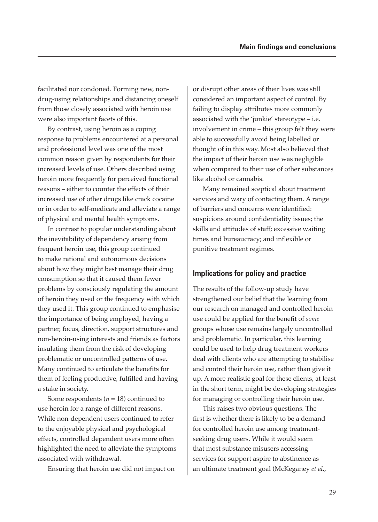facilitated nor condoned. Forming new, nondrug-using relationships and distancing oneself from those closely associated with heroin use were also important facets of this.

By contrast, using heroin as a coping response to problems encountered at a personal and professional level was one of the most common reason given by respondents for their increased levels of use. Others described using heroin more frequently for perceived functional reasons – either to counter the effects of their increased use of other drugs like crack cocaine or in order to self-medicate and alleviate a range of physical and mental health symptoms.

In contrast to popular understanding about the inevitability of dependency arising from frequent heroin use, this group continued to make rational and autonomous decisions about how they might best manage their drug consumption so that it caused them fewer problems by consciously regulating the amount of heroin they used or the frequency with which they used it. This group continued to emphasise the importance of being employed, having a partner, focus, direction, support structures and non-heroin-using interests and friends as factors insulating them from the risk of developing problematic or uncontrolled patterns of use. Many continued to articulate the benefits for them of feeling productive, fulfilled and having a stake in society.

Some respondents  $(n = 18)$  continued to use heroin for a range of different reasons. While non-dependent users continued to refer to the enjoyable physical and psychological effects, controlled dependent users more often highlighted the need to alleviate the symptoms associated with withdrawal.

Ensuring that heroin use did not impact on

or disrupt other areas of their lives was still considered an important aspect of control. By failing to display attributes more commonly associated with the 'junkie' stereotype – i.e. involvement in crime – this group felt they were able to successfully avoid being labelled or thought of in this way. Most also believed that the impact of their heroin use was negligible when compared to their use of other substances like alcohol or cannabis.

Many remained sceptical about treatment services and wary of contacting them. A range of barriers and concerns were identified: suspicions around confidentiality issues; the skills and attitudes of staff; excessive waiting times and bureaucracy; and inflexible or punitive treatment regimes.

#### **Implications for policy and practice**

The results of the follow-up study have strengthened our belief that the learning from our research on managed and controlled heroin use could be applied for the benefit of *some* groups whose use remains largely uncontrolled and problematic. In particular, this learning could be used to help drug treatment workers deal with clients who are attempting to stabilise and control their heroin use, rather than give it up. A more realistic goal for these clients, at least in the short term, might be developing strategies for managing or controlling their heroin use.

This raises two obvious questions. The first is whether there is likely to be a demand for controlled heroin use among treatmentseeking drug users. While it would seem that most substance misusers accessing services for support aspire to abstinence as an ultimate treatment goal (McKeganey *et al*.,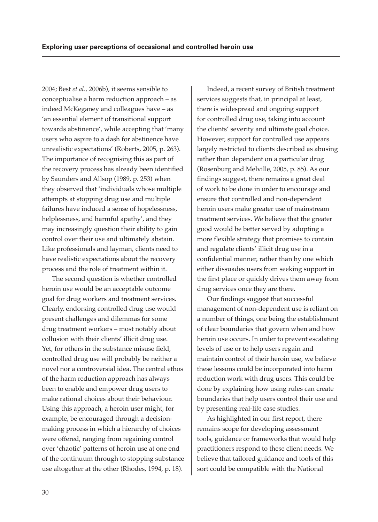2004; Best *et al*., 2006b), it seems sensible to conceptualise a harm reduction approach – as indeed McKeganey and colleagues have – as 'an essential element of transitional support towards abstinence', while accepting that 'many users who aspire to a dash for abstinence have unrealistic expectations' (Roberts, 2005, p. 263). The importance of recognising this as part of the recovery process has already been identified by Saunders and Allsop (1989, p. 253) when they observed that 'individuals whose multiple attempts at stopping drug use and multiple failures have induced a sense of hopelessness, helplessness, and harmful apathy', and they may increasingly question their ability to gain control over their use and ultimately abstain. Like professionals and layman, clients need to have realistic expectations about the recovery process and the role of treatment within it.

The second question is whether controlled heroin use would be an acceptable outcome goal for drug workers and treatment services. Clearly, endorsing controlled drug use would present challenges and dilemmas for some drug treatment workers – most notably about collusion with their clients' illicit drug use. Yet, for others in the substance misuse field, controlled drug use will probably be neither a novel nor a controversial idea. The central ethos of the harm reduction approach has always been to enable and empower drug users to make rational choices about their behaviour. Using this approach, a heroin user might, for example, be encouraged through a decisionmaking process in which a hierarchy of choices were offered, ranging from regaining control over 'chaotic' patterns of heroin use at one end of the continuum through to stopping substance use altogether at the other (Rhodes, 1994, p. 18).

Indeed, a recent survey of British treatment services suggests that, in principal at least, there is widespread and ongoing support for controlled drug use, taking into account the clients' severity and ultimate goal choice. However, support for controlled use appears largely restricted to clients described as abusing rather than dependent on a particular drug (Rosenburg and Melville, 2005, p. 85). As our findings suggest, there remains a great deal of work to be done in order to encourage and ensure that controlled and non-dependent heroin users make greater use of mainstream treatment services. We believe that the greater good would be better served by adopting a more flexible strategy that promises to contain and regulate clients' illicit drug use in a confidential manner, rather than by one which either dissuades users from seeking support in the first place or quickly drives them away from drug services once they are there.

Our findings suggest that successful management of non-dependent use is reliant on a number of things, one being the establishment of clear boundaries that govern when and how heroin use occurs. In order to prevent escalating levels of use or to help users regain and maintain control of their heroin use, we believe these lessons could be incorporated into harm reduction work with drug users. This could be done by explaining how using rules can create boundaries that help users control their use and by presenting real-life case studies.

As highlighted in our first report, there remains scope for developing assessment tools, guidance or frameworks that would help practitioners respond to these client needs. We believe that tailored guidance and tools of this sort could be compatible with the National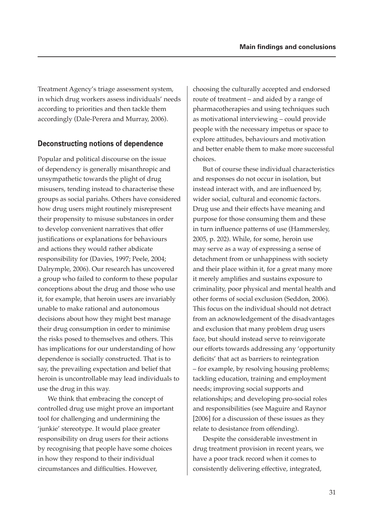Treatment Agency's triage assessment system, in which drug workers assess individuals' needs according to priorities and then tackle them accordingly (Dale-Perera and Murray, 2006).

#### **Deconstructing notions of dependence**

Popular and political discourse on the issue of dependency is generally misanthropic and unsympathetic towards the plight of drug misusers, tending instead to characterise these groups as social pariahs. Others have considered how drug users might routinely misrepresent their propensity to misuse substances in order to develop convenient narratives that offer justifications or explanations for behaviours and actions they would rather abdicate responsibility for (Davies, 1997; Peele, 2004; Dalrymple, 2006). Our research has uncovered a group who failed to conform to these popular conceptions about the drug and those who use it, for example, that heroin users are invariably unable to make rational and autonomous decisions about how they might best manage their drug consumption in order to minimise the risks posed to themselves and others. This has implications for our understanding of how dependence is socially constructed. That is to say, the prevailing expectation and belief that heroin is uncontrollable may lead individuals to use the drug in this way.

We think that embracing the concept of controlled drug use might prove an important tool for challenging and undermining the 'junkie' stereotype. It would place greater responsibility on drug users for their actions by recognising that people have some choices in how they respond to their individual circumstances and difficulties. However,

choosing the culturally accepted and endorsed route of treatment – and aided by a range of pharmacotherapies and using techniques such as motivational interviewing – could provide people with the necessary impetus or space to explore attitudes, behaviours and motivation and better enable them to make more successful choices.

But of course these individual characteristics and responses do not occur in isolation, but instead interact with, and are influenced by, wider social, cultural and economic factors. Drug use and their effects have meaning and purpose for those consuming them and these in turn influence patterns of use (Hammersley, 2005, p. 202). While, for some, heroin use may serve as a way of expressing a sense of detachment from or unhappiness with society and their place within it, for a great many more it merely amplifies and sustains exposure to criminality, poor physical and mental health and other forms of social exclusion (Seddon, 2006). This focus on the individual should not detract from an acknowledgement of the disadvantages and exclusion that many problem drug users face, but should instead serve to reinvigorate our efforts towards addressing any 'opportunity deficits' that act as barriers to reintegration – for example, by resolving housing problems; tackling education, training and employment needs; improving social supports and relationships; and developing pro-social roles and responsibilities (see Maguire and Raynor [2006] for a discussion of these issues as they relate to desistance from offending).

Despite the considerable investment in drug treatment provision in recent years, we have a poor track record when it comes to consistently delivering effective, integrated,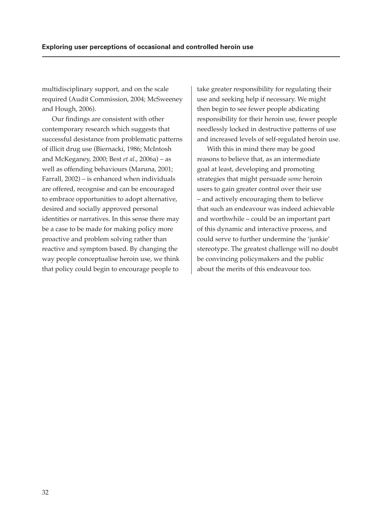multidisciplinary support, and on the scale required (Audit Commission, 2004; McSweeney and Hough, 2006).

Our findings are consistent with other contemporary research which suggests that successful desistance from problematic patterns of illicit drug use (Biernacki, 1986; McIntosh and McKeganey, 2000; Best *et al*., 2006a) – as well as offending behaviours (Maruna, 2001; Farrall, 2002) – is enhanced when individuals are offered, recognise and can be encouraged to embrace opportunities to adopt alternative, desired and socially approved personal identities or narratives. In this sense there may be a case to be made for making policy more proactive and problem solving rather than reactive and symptom based. By changing the way people conceptualise heroin use, we think that policy could begin to encourage people to

take greater responsibility for regulating their use and seeking help if necessary. We might then begin to see fewer people abdicating responsibility for their heroin use, fewer people needlessly locked in destructive patterns of use and increased levels of self-regulated heroin use.

With this in mind there may be good reasons to believe that, as an intermediate goal at least, developing and promoting strategies that might persuade *some* heroin users to gain greater control over their use – and actively encouraging them to believe that such an endeavour was indeed achievable and worthwhile – could be an important part of this dynamic and interactive process, and could serve to further undermine the 'junkie' stereotype. The greatest challenge will no doubt be convincing policymakers and the public about the merits of this endeavour too.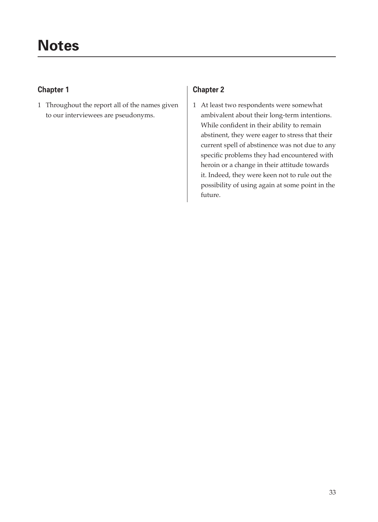# **Chapter 1**

1 Throughout the report all of the names given to our interviewees are pseudonyms.

# **Chapter 2**

1 At least two respondents were somewhat ambivalent about their long-term intentions. While confident in their ability to remain abstinent, they were eager to stress that their current spell of abstinence was not due to any specific problems they had encountered with heroin or a change in their attitude towards it. Indeed, they were keen not to rule out the possibility of using again at some point in the future.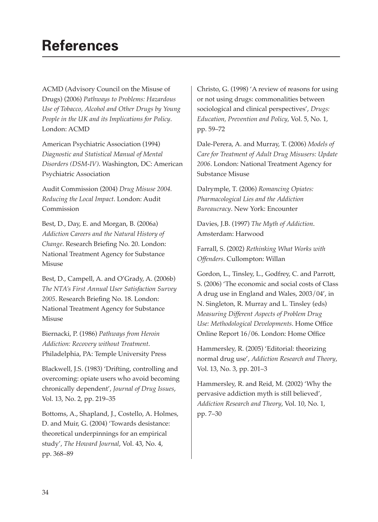# **References**

ACMD (Advisory Council on the Misuse of Drugs) (2006) *Pathways to Problems: Hazardous Use of Tobacco, Alcohol and Other Drugs by Young People in the UK and its Implications for Policy*. London: ACMD

American Psychiatric Association (1994) *Diagnostic and Statistical Manual of Mental Disorders (DSM-IV)*. Washington, DC: American Psychiatric Association

Audit Commission (2004) *Drug Misuse 2004. Reducing the Local Impact*. London: Audit Commission

Best, D., Day, E. and Morgan, B. (2006a) *Addiction Careers and the Natural History of Change*. Research Briefing No. 20. London: National Treatment Agency for Substance Misuse

Best, D., Campell, A. and O'Grady, A. (2006b) *The NTA's First Annual User Satisfaction Survey*  2005. Research Briefing No. 18. London: National Treatment Agency for Substance Misuse

Biernacki, P. (1986) *Pathways from Heroin Addiction: Recovery without Treatment*. Philadelphia, PA: Temple University Press

Blackwell, J.S. (1983) 'Drifting, controlling and overcoming: opiate users who avoid becoming chronically dependent', *Journal of Drug Issues*, Vol. 13, No. 2, pp. 219–35

Bottoms, A., Shapland, J., Costello, A. Holmes, D. and Muir, G. (2004) 'Towards desistance: theoretical underpinnings for an empirical study', *The Howard Journal*, Vol. 43, No. 4, pp. 368–89

Christo, G. (1998) 'A review of reasons for using or not using drugs: commonalities between sociological and clinical perspectives', *Drugs: Education, Prevention and Policy*, Vol. 5, No. 1, pp. 59–72

Dale-Perera, A. and Murray, T. (2006) *Models of Care for Treatment of Adult Drug Misusers: Update 2006*. London: National Treatment Agency for Substance Misuse

Dalrymple, T. (2006) *Romancing Opiates: Pharmacological Lies and the Addiction Bureaucracy*. New York: Encounter

Davies, J.B. (1997) *The Myth of Addiction*. Amsterdam: Harwood

Farrall, S. (2002) *Rethinking What Works with Offenders*. Cullompton: Willan

Gordon, L., Tinsley, L., Godfrey, C. and Parrott, S. (2006) 'The economic and social costs of Class A drug use in England and Wales, 2003/04', in N. Singleton, R. Murray and L. Tinsley (eds) *Measuring Different Aspects of Problem Drug Use: Methodological Developments. Home Office* Online Report 16/06. London: Home Office

Hammersley, R. (2005) 'Editorial: theorizing normal drug use', *Addiction Research and Theory*, Vol. 13, No. 3, pp. 201–3

Hammersley, R. and Reid, M. (2002) 'Why the pervasive addiction myth is still believed', *Addiction Research and Theory*, Vol. 10, No. 1, pp. 7–30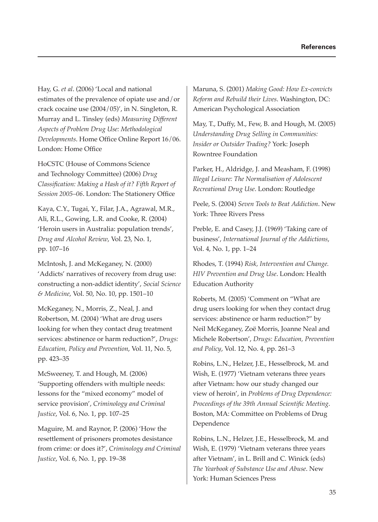Hay, G. *et al*. (2006) 'Local and national estimates of the prevalence of opiate use and/or crack cocaine use (2004/05)', in N. Singleton, R. Murray and L. Tinsley (eds) *Measuring Different Aspects of Problem Drug Use: Methodological Developments*. Home Office Online Report 16/06. London: Home Office

HoCSTC (House of Commons Science and Technology Committee) (2006) *Drug Classification: Making a Hash of it? Fifth Report of Session 2005-06*. London: The Stationery Office

Kaya, C.Y., Tugai, Y., Filar, J.A., Agrawal, M.R., Ali, R.L., Gowing, L.R. and Cooke, R. (2004) 'Heroin users in Australia: population trends', *Drug and Alcohol Review*, Vol. 23, No. 1, pp. 107–16

McIntosh, J. and McKeganey, N. (2000) 'Addicts' narratives of recovery from drug use: constructing a non-addict identity', *Social Science & Medicine*, Vol. 50, No. 10, pp. 1501–10

McKeganey, N., Morris, Z., Neal, J. and Robertson, M. (2004) 'What are drug users looking for when they contact drug treatment services: abstinence or harm reduction?', *Drugs: Education, Policy and Prevention*, Vol. 11, No. 5, pp. 423–35

McSweeney, T. and Hough, M. (2006) 'Supporting offenders with multiple needs: lessons for the "mixed economy" model of service provision', *Criminology and Criminal Justice*, Vol. 6, No. 1, pp. 107–25

Maguire, M. and Raynor, P. (2006) 'How the resettlement of prisoners promotes desistance from crime: or does it?', *Criminology and Criminal Justice*, Vol. 6, No. 1, pp. 19–38

Maruna, S. (2001) *Making Good: How Ex-convicts Reform and Rebuild their Lives*. Washington, DC: American Psychological Association

May, T., Duffy, M., Few, B. and Hough, M. (2005) *Understanding Drug Selling in Communities: Insider or Outsider Trading?* York: Joseph Rowntree Foundation

Parker, H., Aldridge, J. and Measham, F. (1998) *Illegal Leisure: The Normalisation of Adolescent Recreational Drug Use*. London: Routledge

Peele, S. (2004) *Seven Tools to Beat Addiction*. New York: Three Rivers Press

Preble, E. and Casey, J.J. (1969) 'Taking care of business', *International Journal of the Addictions*, Vol. 4, No. 1, pp. 1–24

Rhodes, T. (1994) *Risk, Intervention and Change. HIV Prevention and Drug Use*. London: Health Education Authority

Roberts, M. (2005) 'Comment on "What are drug users looking for when they contact drug services: abstinence or harm reduction?" by Neil McKeganey, Zoë Morris, Joanne Neal and Michele Robertson', *Drugs: Education, Prevention and Policy*, Vol. 12, No. 4, pp. 261–3

Robins, L.N., Helzer, J.E., Hesselbrock, M. and Wish, E. (1977) 'Vietnam veterans three years after Vietnam: how our study changed our view of heroin', in *Problems of Drug Dependence:*  Proceedings of the 39th Annual Scientific Meeting. Boston, MA: Committee on Problems of Drug Dependence

Robins, L.N., Helzer, J.E., Hesselbrock, M. and Wish, E. (1979) 'Vietnam veterans three years after Vietnam', in L. Brill and C. Winick (eds) *The Yearbook of Substance Use and Abuse*. New York: Human Sciences Press